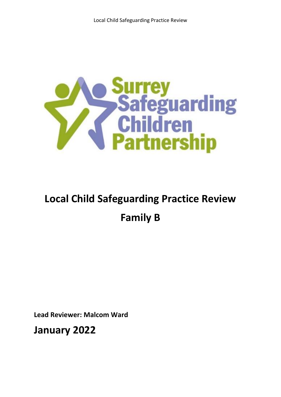

# **Local Child Safeguarding Practice Review Family B**

**Lead Reviewer: Malcom Ward**

**January 2022**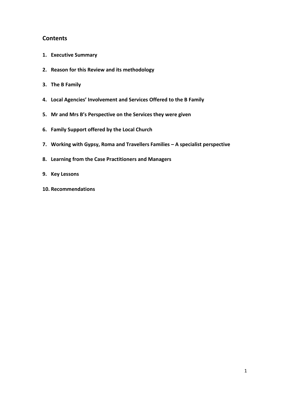## **Contents**

- **1. Executive Summary**
- **2. Reason for this Review and its methodology**
- **3. The B Family**
- **4. Local Agencies' Involvement and Services Offered to the B Family**
- **5. Mr and Mrs B's Perspective on the Services they were given**
- **6. Family Support offered by the Local Church**
- **7. Working with Gypsy, Roma and Travellers Families – A specialist perspective**
- **8. Learning from the Case Practitioners and Managers**
- **9. Key Lessons**
- **10. Recommendations**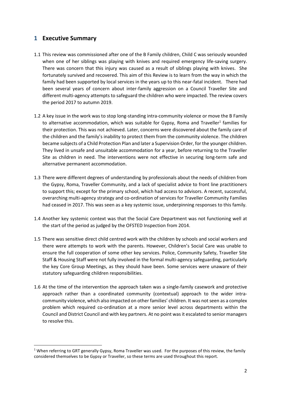## **1 Executive Summary**

- 1.1 This review was commissioned after one of the B Family children, Child C was seriously wounded when one of her siblings was playing with knives and required emergency life-saving surgery. There was concern that this injury was caused as a result of siblings playing with knives. She fortunately survived and recovered. This aim of this Review is to learn from the way in which the family had been supported by local services in the years up to this near-fatal incident. There had been several years of concern about inter-family aggression on a Council Traveller Site and different multi-agency attempts to safeguard the children who were impacted. The review covers the period 2017 to autumn 2019.
- 1.2 A key issue in the work was to stop long-standing intra-community violence or move the B Family to alternative accommodation, which was suitable for Gypsy, Roma and Traveller<sup>1</sup> families for their protection. This was not achieved. Later, concerns were discovered about the family care of the children and the family's inability to protect them from the community violence. The children became subjects of a Child Protection Plan and later a Supervision Order, for the younger children. They lived in unsafe and unsuitable accommodation for a year, before returning to the Traveller Site as children in need. The interventions were not effective in securing long-term safe and alternative permanent accommodation.
- 1.3 There were different degrees of understanding by professionals about the needs of children from the Gypsy, Roma, Traveller Community, and a lack of specialist advice to front line practitioners to support this; except for the primary school, which had access to advisors. A recent, successful, overarching multi-agency strategy and co-ordination of services for Traveller Community Families had ceased in 2017. This was seen as a key systemic issue, underpinning responses to this family.
- 1.4 Another key systemic context was that the Social Care Department was not functioning well at the start of the period as judged by the OFSTED Inspection from 2014.
- 1.5 There was sensitive direct child centred work with the children by schools and social workers and there were attempts to work with the parents. However, Children's Social Care was unable to ensure the full cooperation of some other key services. Police, Community Safety, Traveller Site Staff & Housing Staff were not fully involved in the formal multi-agency safeguarding, particularly the key Core Group Meetings, as they should have been. Some services were unaware of their statutory safeguarding children responsibilities.
- 1.6 At the time of the intervention the approach taken was a single-family casework and protective approach rather than a coordinated community (contextual) approach to the wider intracommunity violence, which also impacted on other families' children. It was not seen as a complex problem which required co-ordination at a more senior level across departments within the Council and District Council and with key partners. At no point was it escalated to senior managers to resolve this.

<sup>&</sup>lt;sup>1</sup> When referring to GRT generally Gypsy, Roma Traveller was used. For the purposes of this review, the family considered themselves to be Gypsy or Traveller, so these terms are used throughout this report.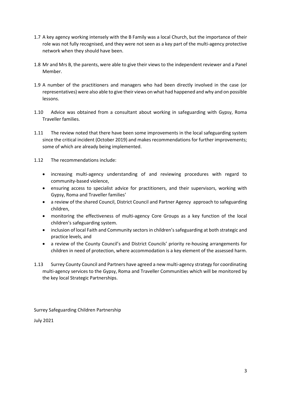- 1.7 A key agency working intensely with the B Family was a local Church, but the importance of their role was not fully recognised, and they were not seen as a key part of the multi-agency protective network when they should have been.
- 1.8 Mr and Mrs B, the parents, were able to give their views to the independent reviewer and a Panel Member.
- 1.9 A number of the practitioners and managers who had been directly involved in the case (or representatives) were also able to give their views on what had happened and why and on possible lessons.
- 1.10 Advice was obtained from a consultant about working in safeguarding with Gypsy, Roma Traveller families.
- 1.11 The review noted that there have been some improvements in the local safeguarding system since the critical incident (October 2019) and makes recommendations for further improvements; some of which are already being implemented.
- 1.12 The recommendations include:
	- increasing multi-agency understanding of and reviewing procedures with regard to community-based violence,
	- ensuring access to specialist advice for practitioners, and their supervisors, working with Gypsy, Roma and Traveller families'
	- a review of the shared Council, District Council and Partner Agency approach to safeguarding children,
	- monitoring the effectiveness of multi-agency Core Groups as a key function of the local children's safeguarding system.
	- inclusion of local Faith and Community sectors in children's safeguarding at both strategic and practice levels, and
	- a review of the County Council's and District Councils' priority re-housing arrangements for children in need of protection, where accommodation is a key element of the assessed harm.
- 1.13 Surrey County Council and Partners have agreed a new multi-agency strategy for coordinating multi-agency services to the Gypsy, Roma and Traveller Communities which will be monitored by the key local Strategic Partnerships.

Surrey Safeguarding Children Partnership

July 2021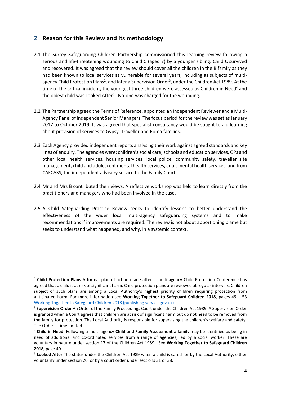## **2 Reason for this Review and its methodology**

- 2.1 The Surrey Safeguarding Children Partnership commissioned this learning review following a serious and life-threatening wounding to Child C (aged 7) by a younger sibling. Child C survived and recovered. It was agreed that the review should cover all the children in the B family as they had been known to local services as vulnerable for several years, including as subjects of multiagency Child Protection Plans<sup>2</sup>, and later a Supervision Order<sup>3</sup>, under the Children Act 1989. At the time of the critical incident, the youngest three children were assessed as Children in Need<sup>4</sup> and the oldest child was Looked After<sup>5</sup>. No-one was charged for the wounding.
- 2.2 The Partnership agreed the Terms of Reference, appointed an Independent Reviewer and a Multi-Agency Panel of Independent Senior Managers. The focus period for the review was set as January 2017 to October 2019. It was agreed that specialist consultancy would be sought to aid learning about provision of services to Gypsy, Traveller and Roma families.
- 2.3 Each Agency provided independent reports analysing their work against agreed standards and key lines of enquiry. The agencies were: children's social care, schools and education services, GPs and other local health services, housing services, local police, community safety, traveller site management, child and adolescent mental health services, adult mental health services, and from CAFCASS, the independent advisory service to the Family Court.
- 2.4 Mr and Mrs B contributed their views. A reflective workshop was held to learn directly from the practitioners and managers who had been involved in the case.
- 2.5 A Child Safeguarding Practice Review seeks to identify lessons to better understand the effectiveness of the wider local multi-agency safeguarding systems and to make recommendations if improvements are required. The review is not about apportioning blame but seeks to understand what happened, and why, in a systemic context.

<sup>2</sup> **Child Protection Plans** A formal plan of action made after a multi-agency Child Protection Conference has agreed that a child is at risk of significant harm. Child protection plans are reviewed at regular intervals. Children subject of such plans are among a Local Authority's highest priority children requiring protection from anticipated harm. For more information see **Working Together to Safeguard Children 2018**, pages 49 – 53 [Working Together to Safeguard Children 2018 \(publishing.service.gov.uk\)](https://assets.publishing.service.gov.uk/government/uploads/system/uploads/attachment_data/file/942454/Working_together_to_safeguard_children_inter_agency_guidance.pdf)

<sup>3</sup> **Supervision Order** An Order of the Family Proceedings Court under the Children Act 1989. A Supervision Order is granted when a Court agrees that children are at risk of significant harm but do not need to be removed from the family for protection. The Local Authority is responsible for supervising the children's welfare and safety. The Order is time-limited.

<sup>4</sup> **Child in Need** Following a multi-agency **Child and Family Assessment** a family may be identified as being in need of additional and co-ordinated services from a range of agencies, led by a social worker. These are voluntary in nature under section 17 of the Children Act 1989. See **Working Together to Safeguard Children 2018**, page 40.

<sup>5</sup> **Looked After** The status under the Children Act 1989 when a child is cared for by the Local Authority, either voluntarily under section 20, or by a court order under sections 31 or 38.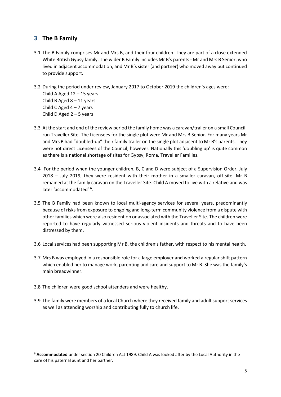## **3 The B Family**

- 3.1 The B Family comprises Mr and Mrs B, and their four children. They are part of a close extended White British Gypsy family. The wider B Family includes Mr B's parents - Mr and Mrs B Senior, who lived in adjacent accommodation, and Mr B's sister (and partner) who moved away but continued to provide support.
- 3.2 During the period under review, January 2017 to October 2019 the children's ages were: Child A Aged 12 – 15 years Child B Aged 8 – 11 years Child C Aged  $4 - 7$  years Child D Aged  $2 - 5$  years
- 3.3 At the start and end of the review period the family home was a caravan/trailer on a small Councilrun Traveller Site. The Licensees for the single plot were Mr and Mrs B Senior. For many years Mr and Mrs B had "doubled-up" their family trailer on the single plot adjacent to Mr B's parents. They were not direct Licensees of the Council, however. Nationally this 'doubling up' is quite common as there is a national shortage of sites for Gypsy, Roma, Traveller Families.
- 3.4 For the period when the younger children, B, C and D were subject of a Supervision Order, July 2018 – July 2019, they were resident with their mother in a smaller caravan, off-site. Mr B remained at the family caravan on the Traveller Site. Child A moved to live with a relative and was later 'accommodated' <sup>6</sup>.
- 3.5 The B Family had been known to local multi-agency services for several years, predominantly because of risks from exposure to ongoing and long-term community violence from a dispute with other families which were also resident on or associated with the Traveller Site. The children were reported to have regularly witnessed serious violent incidents and threats and to have been distressed by them.
- 3.6 Local services had been supporting Mr B, the children's father, with respect to his mental health.
- 3.7 Mrs B was employed in a responsible role for a large employer and worked a regular shift pattern which enabled her to manage work, parenting and care and support to Mr B. She was the family's main breadwinner.
- 3.8 The children were good school attenders and were healthy.
- 3.9 The family were members of a local Church where they received family and adult support services as well as attending worship and contributing fully to church life.

<sup>6</sup> **Accommodated** under section 20 Children Act 1989. Child A was looked after by the Local Authority in the care of his paternal aunt and her partner.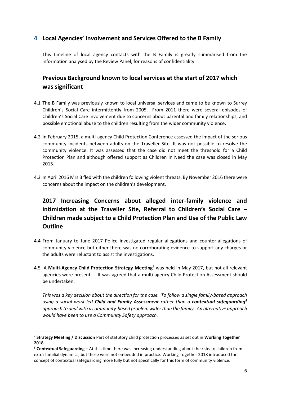## **4 Local Agencies' Involvement and Services Offered to the B Family**

This timeline of local agency contacts with the B Family is greatly summarised from the information analysed by the Review Panel, for reasons of confidentiality.

## **Previous Background known to local services at the start of 2017 which was significant**

- 4.1 The B Family was previously known to local universal services and came to be known to Surrey Children's Social Care intermittently from 2005. From 2011 there were several episodes of Children's Social Care involvement due to concerns about parental and family relationships, and possible emotional abuse to the children resulting from the wider community violence.
- 4.2 In February 2015, a multi-agency Child Protection Conference assessed the impact of the serious community incidents between adults on the Traveller Site. It was not possible to resolve the community violence. It was assessed that the case did not meet the threshold for a Child Protection Plan and although offered support as Children in Need the case was closed in May 2015.
- 4.3 In April 2016 Mrs B fled with the children following violent threats. By November 2016 there were concerns about the impact on the children's development.

# **2017 Increasing Concerns about alleged inter-family violence and intimidation at the Traveller Site, Referral to Children's Social Care – Children made subject to a Child Protection Plan and Use of the Public Law Outline**

- 4.4 From January to June 2017 Police investigated regular allegations and counter-allegations of community violence but either there was no corroborating evidence to support any charges or the adults were reluctant to assist the investigations.
- 4.5 A **Multi-Agency Child Protection Strategy Meeting**<sup>7</sup> was held in May 2017, but not all relevant agencies were present. It was agreed that a multi-agency Child Protection Assessment should be undertaken.

*This was a key decision about the direction for the case. To follow a single family-based approach using a social work led Child and Family Assessment rather than a contextual safeguarding<sup>8</sup> approach to deal with a community-based problem wider than the family. An alternative approach would have been to use a Community Safety approach.* 

<sup>7</sup> **Strategy Meeting / Discussion** Part of statutory child protection processes as set out in **Working Together 2018** 

<sup>8</sup> **Contextual Safeguarding** – At this time there was increasing understanding about the risks to children from extra-familial dynamics, but these were not embedded in practice. Working Together 2018 introduced the concept of contextual safeguarding more fully but not specifically for this form of community violence.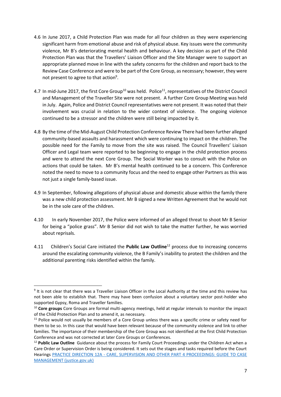- 4.6 In June 2017, a Child Protection Plan was made for all four children as they were experiencing significant harm from emotional abuse and risk of physical abuse. Key issues were the community violence, Mr B's deteriorating mental health and behaviour. A key decision as part of the Child Protection Plan was that the Travellers' Liaison Officer and the Site Manager were to support an appropriate planned move in line with the safety concerns for the children and report back to the Review Case Conference and were to be part of the Core Group, as necessary; however, they were not present to agree to that action<sup>9</sup>.
- 4.7 In mid-June 2017, the first Core Group<sup>10</sup> was held. Police<sup>11</sup>, representatives of the District Council and Management of the Traveller Site were not present. A further Core Group Meeting was held in July. Again, Police and District Council representatives were not present. It was noted that their involvement was crucial in relation to the wider context of violence. The ongoing violence continued to be a stressor and the children were still being impacted by it.
- 4.8 By the time of the Mid-August Child Protection Conference Review There had been further alleged community-based assaults and harassment which were continuing to impact on the children. The possible need for the Family to move from the site was raised. The Council Travellers' Liaison Officer and Legal team were reported to be beginning to engage in the child protection process and were to attend the next Core Group. The Social Worker was to consult with the Police on actions that could be taken. Mr B's mental health continued to be a concern. This Conference noted the need to move to a community focus and the need to engage other Partners as this was not just a single family-based issue.
- 4.9 In September, following allegations of physical abuse and domestic abuse within the family there was a new child protection assessment. Mr B signed a new Written Agreement that he would not be in the sole care of the children.
- 4.10 In early November 2017, the Police were informed of an alleged threat to shoot Mr B Senior for being a "police grass". Mr B Senior did not wish to take the matter further, he was worried about reprisals.
- 4.11 Children's Social Care initiated the **Public Law Outline**<sup>12</sup> process due to increasing concerns around the escalating community violence, the B Family's inability to protect the children and the additional parenting risks identified within the family.

<sup>&</sup>lt;sup>9</sup> It is not clear that there was a Traveller Liaison Officer in the Local Authority at the time and this review has not been able to establish that. There may have been confusion about a voluntary sector post-holder who supported Gypsy, Roma and Traveller families.

<sup>10</sup> **Core groups** Core Groups are formal multi-agency meetings, held at regular intervals to monitor the impact of the Child Protection Plan and to amend it, as necessary.

<sup>&</sup>lt;sup>11</sup> Police would not usually be members of a Core Group unless there was a specific crime or safety need for them to be so. In this case that would have been relevant because of the community violence and link to other families. The importance of their membership of the Core Group was not identified at the first Child Protection Conference and was not corrected at later Core Groups or Conferences.

<sup>12</sup> **Public Law Outline** Guidance about the process for Family Court Proceedings under the Children Act when a Care Order or Supervision Order is being considered. It sets out the stages and tasks required before the Court Hearings PRACTICE DIRECTION 12A - [CARE, SUPERVISION AND OTHER PART 4 PROCEEDINGS: GUIDE TO CASE](https://www.justice.gov.uk/courts/procedure-rules/family/practice_directions/pd_part_12a)  [MANAGEMENT \(justice.gov.uk\)](https://www.justice.gov.uk/courts/procedure-rules/family/practice_directions/pd_part_12a)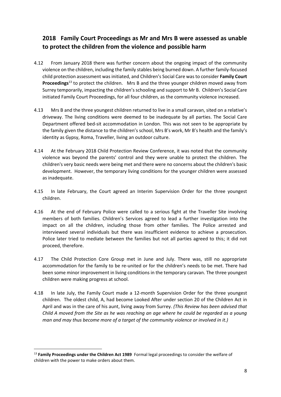# **2018 Family Court Proceedings as Mr and Mrs B were assessed as unable to protect the children from the violence and possible harm**

- 4.12 From January 2018 there was further concern about the ongoing impact of the community violence on the children, including the family stables being burned down. A further family-focused child protection assessment was initiated, and Children's Social Care was to consider **Family Court Proceedings**<sup>13</sup> to protect the children. Mrs B and the three younger children moved away from Surrey temporarily, impacting the children's schooling and support to Mr B. Children's Social Care initiated Family Court Proceedings, for all four children, as the community violence increased.
- 4.13 Mrs B and the three youngest children returned to live in a small caravan, sited on a relative's driveway. The living conditions were deemed to be inadequate by all parties. The Social Care Department offered bed-sit accommodation in London. This was not seen to be appropriate by the family given the distance to the children's school, Mrs B's work, Mr B's health and the family's identity as Gypsy, Roma, Traveller, living an outdoor culture.
- 4.14 At the February 2018 Child Protection Review Conference, it was noted that the community violence was beyond the parents' control and they were unable to protect the children. The children's very basic needs were being met and there were no concerns about the children's basic development. However, the temporary living conditions for the younger children were assessed as inadequate.
- 4.15 In late February, the Court agreed an Interim Supervision Order for the three youngest children.
- 4.16 At the end of February Police were called to a serious fight at the Traveller Site involving members of both families. Children's Services agreed to lead a further investigation into the impact on all the children, including those from other families. The Police arrested and interviewed several individuals but there was insufficient evidence to achieve a prosecution. Police later tried to mediate between the families but not all parties agreed to this; it did not proceed, therefore.
- 4.17 The Child Protection Core Group met in June and July. There was, still no appropriate accommodation for the family to be re-united or for the children's needs to be met. There had been some minor improvement in living conditions in the temporary caravan. The three youngest children were making progress at school.
- 4.18 In late July, the Family Court made a 12-month Supervision Order for the three youngest children. The oldest child, A, had become Looked After under section 20 of the Children Act in April and was in the care of his aunt, living away from Surrey. *(This Review has been advised that Child A moved from the Site as he was reaching an age where he could be regarded as a young man and may thus become more of a target of the community violence or involved in it.)*

<sup>13</sup> **Family Proceedings under the Children Act 1989** Formal legal proceedings to consider the welfare of children with the power to make orders about them.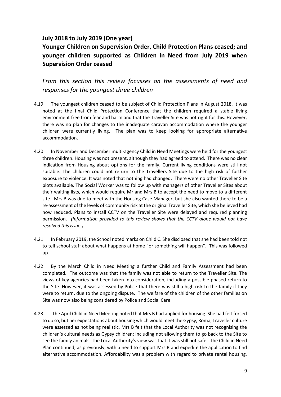## **July 2018 to July 2019 (One year)**

# **Younger Children on Supervision Order, Child Protection Plans ceased; and younger children supported as Children in Need from July 2019 when Supervision Order ceased**

*From this section this review focusses on the assessments of need and responses for the youngest three children*

- 4.19 The youngest children ceased to be subject of Child Protection Plans in August 2018. It was noted at the final Child Protection Conference that the children required a stable living environment free from fear and harm and that the Traveller Site was not right for this. However, there was no plan for changes to the inadequate caravan accommodation where the younger children were currently living. The plan was to keep looking for appropriate alternative accommodation.
- 4.20 In November and December multi-agency Child in Need Meetings were held for the youngest three children. Housing was not present, although they had agreed to attend. There was no clear indication from Housing about options for the family. Current living conditions were still not suitable. The children could not return to the Travellers Site due to the high risk of further exposure to violence. It was noted that nothing had changed. There were no other Traveller Site plots available. The Social Worker was to follow up with managers of other Traveller Sites about their waiting lists, which would require Mr and Mrs B to accept the need to move to a different site. Mrs B was due to meet with the Housing Case Manager, but she also wanted there to be a re-assessment of the levels of community risk at the original Traveller Site, which she believed had now reduced. Plans to install CCTV on the Traveller Site were delayed and required planning permission. *(Information provided to this review shows that the CCTV alone would not have resolved this issue.)*
- 4.21 In February 2019, the School noted marks on Child C. She disclosed that she had been told not to tell school staff about what happens at home "or something will happen". This was followed up.
- 4.22 By the March Child in Need Meeting a further Child and Family Assessment had been completed. The outcome was that the family was not able to return to the Traveller Site. The views of key agencies had been taken into consideration, including a possible phased return to the Site. However, it was assessed by Police that there was still a high risk to the family if they were to return, due to the ongoing dispute. The welfare of the children of the other families on Site was now also being considered by Police and Social Care.
- 4.23 The April Child in Need Meeting noted that Mrs B had applied for housing. She had felt forced to do so, but her expectations about housing which would meet the Gypsy, Roma, Traveller culture were assessed as not being realistic. Mrs B felt that the Local Authority was not recognising the children's cultural needs as Gypsy children; including not allowing them to go back to the Site to see the family animals. The Local Authority's view was that it was still not safe. The Child in Need Plan continued, as previously, with a need to support Mrs B and expedite the application to find alternative accommodation. Affordability was a problem with regard to private rental housing.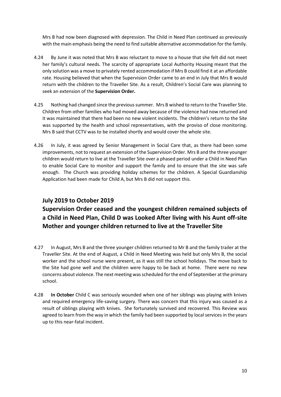Mrs B had now been diagnosed with depression. The Child in Need Plan continued as previously with the main emphasis being the need to find suitable alternative accommodation for the family.

- 4.24 By June it was noted that Mrs B was reluctant to move to a house that she felt did not meet her family's cultural needs. The scarcity of appropriate Local Authority Housing meant that the only solution was a move to privately rented accommodation if Mrs B could find it at an affordable rate. Housing believed that when the Supervision Order came to an end in July that Mrs B would return with the children to the Traveller Site. As a result, Children's Social Care was planning to seek an extension of the **Supervision Order.**
- 4.25 Nothing had changed since the previous summer. Mrs B wished to return to the Traveller Site. Children from other families who had moved away because of the violence had now returned and it was maintained that there had been no new violent incidents. The children's return to the Site was supported by the health and school representatives, with the proviso of close monitoring. Mrs B said that CCTV was to be installed shortly and would cover the whole site.
- 4.26 In July, it was agreed by Senior Management in Social Care that, as there had been some improvements, not to request an extension of the Supervision Order. Mrs B and the three younger children would return to live at the Traveller Site over a phased period under a Child in Need Plan to enable Social Care to monitor and support the family and to ensure that the site was safe enough. The Church was providing holiday schemes for the children. A Special Guardianship Application had been made for Child A, but Mrs B did not support this.

## **July 2019 to October 2019**

**Supervision Order ceased and the youngest children remained subjects of a Child in Need Plan, Child D was Looked After living with his Aunt off-site Mother and younger children returned to live at the Traveller Site** 

- 4.27 In August, Mrs B and the three younger children returned to Mr B and the family trailer at the Traveller Site. At the end of August, a Child in Need Meeting was held but only Mrs B, the social worker and the school nurse were present, as it was still the school holidays. The move back to the Site had gone well and the children were happy to be back at home. There were no new concerns about violence. The next meeting was scheduled for the end of September at the primary school.
- 4.28 **In October** Child C was seriously wounded when one of her siblings was playing with knives and required emergency life-saving surgery. There was concern that this injury was caused as a result of siblings playing with knives. She fortunately survived and recovered. This Review was agreed to learn from the way in which the family had been supported by local services in the years up to this near-fatal incident.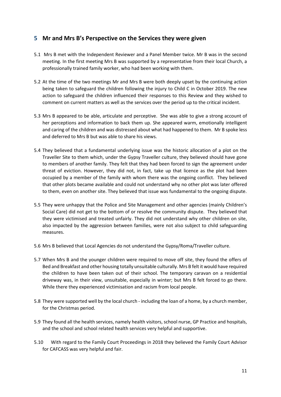## **5 Mr and Mrs B's Perspective on the Services they were given**

- 5.1 Mrs B met with the Independent Reviewer and a Panel Member twice. Mr B was in the second meeting. In the first meeting Mrs B was supported by a representative from their local Church, a professionally trained family worker, who had been working with them.
- 5.2 At the time of the two meetings Mr and Mrs B were both deeply upset by the continuing action being taken to safeguard the children following the injury to Child C in October 2019. The new action to safeguard the children influenced their responses to this Review and they wished to comment on current matters as well as the services over the period up to the critical incident.
- 5.3 Mrs B appeared to be able, articulate and perceptive. She was able to give a strong account of her perceptions and information to back them up. She appeared warm, emotionally intelligent and caring of the children and was distressed about what had happened to them. Mr B spoke less and deferred to Mrs B but was able to share his views.
- 5.4 They believed that a fundamental underlying issue was the historic allocation of a plot on the Traveller Site to them which, under the Gypsy Traveller culture, they believed should have gone to members of another family. They felt that they had been forced to sign the agreement under threat of eviction. However, they did not, in fact, take up that licence as the plot had been occupied by a member of the family with whom there was the ongoing conflict. They believed that other plots became available and could not understand why no other plot was later offered to them, even on another site. They believed that issue was fundamental to the ongoing dispute.
- 5.5 They were unhappy that the Police and Site Management and other agencies (mainly Children's Social Care) did not get to the bottom of or resolve the community dispute. They believed that they were victimised and treated unfairly. They did not understand why other children on site, also impacted by the aggression between families, were not also subject to child safeguarding measures.
- 5.6 Mrs B believed that Local Agencies do not understand the Gypsy/Roma/Traveller culture.
- 5.7 When Mrs B and the younger children were required to move off site, they found the offers of Bed and Breakfast and other housing totally unsuitable culturally. Mrs B felt it would have required the children to have been taken out of their school. The temporary caravan on a residential driveway was, in their view, unsuitable, especially in winter; but Mrs B felt forced to go there. While there they experienced victimisation and racism from local people.
- 5.8 They were supported well by the local church including the loan of a home, by a church member, for the Christmas period.
- 5.9 They found all the health services, namely health visitors, school nurse, GP Practice and hospitals, and the school and school related health services very helpful and supportive.
- 5.10 With regard to the Family Court Proceedings in 2018 they believed the Family Court Advisor for CAFCASS was very helpful and fair.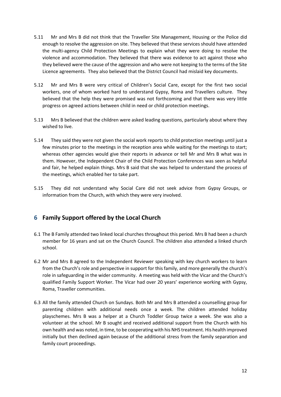- 5.11 Mr and Mrs B did not think that the Traveller Site Management, Housing or the Police did enough to resolve the aggression on site. They believed that these services should have attended the multi-agency Child Protection Meetings to explain what they were doing to resolve the violence and accommodation. They believed that there was evidence to act against those who they believed were the cause of the aggression and who were not keeping to the terms of the Site Licence agreements. They also believed that the District Council had mislaid key documents.
- 5.12 Mr and Mrs B were very critical of Children's Social Care, except for the first two social workers, one of whom worked hard to understand Gypsy, Roma and Travellers culture. They believed that the help they were promised was not forthcoming and that there was very little progress on agreed actions between child in need or child protection meetings.
- 5.13 Mrs B believed that the children were asked leading questions, particularly about where they wished to live.
- 5.14 They said they were not given the social work reports to child protection meetings until just a few minutes prior to the meetings in the reception area while waiting for the meetings to start; whereas other agencies would give their reports in advance or tell Mr and Mrs B what was in them. However, the Independent Chair of the Child Protection Conferences was seen as helpful and fair, he helped explain things. Mrs B said that she was helped to understand the process of the meetings, which enabled her to take part.
- 5.15 They did not understand why Social Care did not seek advice from Gypsy Groups, or information from the Church, with which they were very involved.

## **6 Family Support offered by the Local Church**

- 6.1 The B Family attended two linked local churches throughout this period. Mrs B had been a church member for 16 years and sat on the Church Council. The children also attended a linked church school.
- 6.2 Mr and Mrs B agreed to the Independent Reviewer speaking with key church workers to learn from the Church's role and perspective in support for this family, and more generally the church's role in safeguarding in the wider community. A meeting was held with the Vicar and the Church's qualified Family Support Worker. The Vicar had over 20 years' experience working with Gypsy, Roma, Traveller communities.
- 6.3 All the family attended Church on Sundays. Both Mr and Mrs B attended a counselling group for parenting children with additional needs once a week. The children attended holiday playschemes. Mrs B was a helper at a Church Toddler Group twice a week. She was also a volunteer at the school. Mr B sought and received additional support from the Church with his own health and was noted, in time, to be cooperating with his NHS treatment. His health improved initially but then declined again because of the additional stress from the family separation and family court proceedings.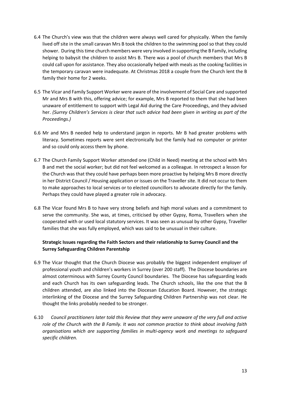- 6.4 The Church's view was that the children were always well cared for physically. When the family lived off site in the small caravan Mrs B took the children to the swimming pool so that they could shower. During this time church members were very involved in supporting the B Family, including helping to babysit the children to assist Mrs B. There was a pool of church members that Mrs B could call upon for assistance. They also occasionally helped with meals as the cooking facilities in the temporary caravan were inadequate. At Christmas 2018 a couple from the Church lent the B family their home for 2 weeks.
- 6.5 The Vicar and Family Support Worker were aware of the involvement of Social Care and supported Mr and Mrs B with this, offering advice; for example, Mrs B reported to them that she had been unaware of entitlement to support with Legal Aid during the Care Proceedings, and they advised her. *(Surrey Children's Services is clear that such advice had been given in writing as part of the Proceedings.)*
- 6.6 Mr and Mrs B needed help to understand jargon in reports. Mr B had greater problems with literacy. Sometimes reports were sent electronically but the family had no computer or printer and so could only access them by phone.
- 6.7 The Church Family Support Worker attended one (Child in Need) meeting at the school with Mrs B and met the social worker; but did not feel welcomed as a colleague. In retrospect a lesson for the Church was that they could have perhaps been more proactive by helping Mrs B more directly in her District Council / Housing application or issues on the Traveller site. It did not occur to them to make approaches to local services or to elected councillors to advocate directly for the family. Perhaps they could have played a greater role in advocacy.
- 6.8 The Vicar found Mrs B to have very strong beliefs and high moral values and a commitment to serve the community. She was, at times, criticised by other Gypsy, Roma, Travellers when she cooperated with or used local statutory services. It was seen as unusual by other Gypsy, Traveller families that she was fully employed, which was said to be unusual in their culture.

#### **Strategic Issues regarding the Faith Sectors and their relationship to Surrey Council and the Surrey Safeguarding Children Parentship**

- 6.9 The Vicar thought that the Church Diocese was probably the biggest independent employer of professional youth and children's workers in Surrey (over 200 staff). The Diocese boundaries are almost coterminous with Surrey County Council boundaries. The Diocese has safeguarding leads and each Church has its own safeguarding leads. The Church schools, like the one that the B children attended, are also linked into the Diocesan Education Board. However, the strategic interlinking of the Diocese and the Surrey Safeguarding Children Partnership was not clear. He thought the links probably needed to be stronger.
- 6.10 *Council practitioners later told this Review that they were unaware of the very full and active role of the Church with the B Family. It was not common practice to think about involving faith organisations which are supporting families in multi-agency work and meetings to safeguard specific children.*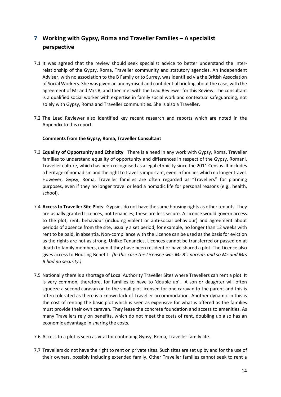# **7 Working with Gypsy, Roma and Traveller Families – A specialist perspective**

- 7.1 It was agreed that the review should seek specialist advice to better understand the interrelationship of the Gypsy, Roma, Traveller community and statutory agencies. An Independent Adviser, with no association to the B Family or to Surrey, was identified via the British Association of Social Workers. She was given an anonymised and confidential briefing about the case, with the agreement of Mr and Mrs B, and then met with the Lead Reviewer for this Review. The consultant is a qualified social worker with expertise in family social work and contextual safeguarding, not solely with Gypsy, Roma and Traveller communities. She is also a Traveller.
- 7.2 The Lead Reviewer also identified key recent research and reports which are noted in the Appendix to this report.

#### **Comments from the Gypsy, Roma, Traveller Consultant**

- 7.3 **Equality of Opportunity and Ethnicity** There is a need in any work with Gypsy, Roma, Traveller families to understand equality of opportunity and differences in respect of the Gypsy, Romani, Traveller culture, which has been recognised as a legal ethnicity since the 2011 Census. It includes a heritage of nomadism and the right to travel is important, even in families which no longer travel. However, Gypsy, Roma, Traveller families are often regarded as "Travellers" for planning purposes, even if they no longer travel or lead a nomadic life for personal reasons (e.g., health, school).
- 7.4 **Access to Traveller Site Plots** Gypsies do not have the same housing rights as other tenants. They are usually granted Licences, not tenancies; these are less secure. A Licence would govern access to the plot, rent, behaviour (including violent or anti-social behaviour) and agreement about periods of absence from the site, usually a set period, for example, no longer than 12 weeks with rent to be paid, in absentia. Non-compliance with the Licence can be used as the basis for eviction as the rights are not as strong*.* Unlike Tenancies, Licences cannot be transferred or passed on at death to family members, even if they have been resident or have shared a plot. The Licence also gives access to Housing Benefit. *(In this case the Licensee was Mr B's parents and so Mr and Mrs B had no security.)*
- 7.5 Nationally there is a shortage of Local Authority Traveller Sites where Travellers can rent a plot. It is very common, therefore, for families to have to 'double up'. A son or daughter will often squeeze a second caravan on to the small plot licensed for one caravan to the parent and this is often tolerated as there is a known lack of Traveller accommodation. Another dynamic in this is the cost of renting the basic plot which is seen as expensive for what is offered as the families must provide their own caravan. They lease the concrete foundation and access to amenities. As many Travellers rely on benefits, which do not meet the costs of rent, doubling up also has an economic advantage in sharing the costs.
- 7.6 Access to a plot is seen as vital for continuing Gypsy, Roma, Traveller family life.
- 7.7 Travellers do not have the right to rent on private sites. Such sites are set up by and for the use of their owners, possibly including extended family. Other Traveller families cannot seek to rent a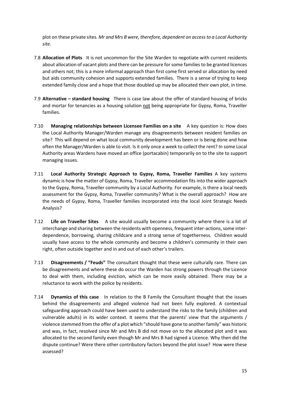plot on these private sites. *Mr and Mrs B were, therefore, dependent on access to a Local Authority site.*

- 7.8 **Allocation of Plots** It is not uncommon for the Site Warden to negotiate with current residents about allocation of vacant plots and there can be pressure for some families to be granted licences and others not; this is a more informal approach than first come first served or allocation by need but aids community cohesion and supports extended families. There is a sense of trying to keep extended family close and a hope that those doubled up may be allocated their own plot, in time.
- 7.9 **Alternative – standard housing** There is case law about the offer of standard housing of bricks and mortar for tenancies as a housing solution not being appropriate for Gypsy, Roma, Traveller families.
- 7.10 **Managing relationships between Licensee Families on a site** A key question is: How does the Local Authority Manager/Warden manage any disagreements between resident families on site? This will depend on what local community development has been or is being done and how often the Manager/Warden is able to visit. Is it only once a week to collect the rent? In some Local Authority areas Wardens have moved an office (portacabin) temporarily on to the site to support managing issues.
- 7.11 **Local Authority Strategic Approach to Gypsy, Roma, Traveller Families** A key systems dynamic is how the matter of Gypsy, Roma, Traveller accommodation fits into the wider approach to the Gypsy, Roma, Traveller community by a Local Authority. For example, is there a local needs assessment for the Gypsy, Roma, Traveller community? What is the overall approach? How are the needs of Gypsy, Roma, Traveller families incorporated into the local Joint Strategic Needs Analysis?
- 7.12 **Life on Traveller Sites** A site would usually become a community where there is a lot of interchange and sharing between the residents with openness, frequent inter-actions, some interdependence, borrowing, sharing childcare and a strong sense of togetherness. Children would usually have access to the whole community and become a children's community in their own right, often outside together and in and out of each other's trailers.
- 7.13 **Disagreements / "Feuds"** The consultant thought that these were culturally rare. There can be disagreements and where these do occur the Warden has strong powers through the Licence to deal with them, including eviction, which can be more easily obtained. There may be a reluctance to work with the police by residents.
- 7.14 **Dynamics of this case** In relation to the B Family the Consultant thought that the issues behind the disagreements and alleged violence had not been fully explored. A contextual safeguarding approach could have been used to understand the risks to the family (children and vulnerable adults) in its wider context. It seems that the parents' view that the arguments / violence stemmed from the offer of a plot which "should have gone to another family" was historic and was, in fact, resolved since Mr and Mrs B did not move on to the allocated plot and it was allocated to the second family even though Mr and Mrs B had signed a Licence. Why then did the dispute continue? Were there other contributory factors beyond the plot issue? How were these assessed?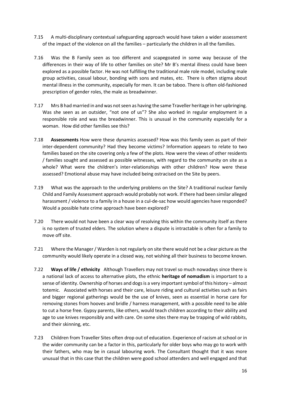- 7.15 A multi-disciplinary contextual safeguarding approach would have taken a wider assessment of the impact of the violence on all the families – particularly the children in all the families.
- 7.16 Was the B Family seen as too different and scapegoated in some way because of the differences in their way of life to other families on site? Mr B's mental illness could have been explored as a possible factor. He was not fulfilling the traditional male role model, including male group activities, casual labour, bonding with sons and mates, etc. There is often stigma about mental illness in the community, especially for men. It can be taboo. There is often old-fashioned prescription of gender roles, the male as breadwinner.
- 7.17 Mrs B had married in and was not seen as having the same Traveller heritage in her upbringing. Was she seen as an outsider, "not one of us"? She also worked in regular employment in a responsible role and was the breadwinner. This is unusual in the community especially for a woman. How did other families see this?
- 7.18 **Assessments** How were these dynamics assessed? How was this family seen as part of their inter-dependent community? Had they become victims? Information appears to relate to two families based on the site covering only a few of the plots. How were the views of other residents / families sought and assessed as possible witnesses, with regard to the community on site as a whole? What were the children's inter-relationships with other children? How were these assessed? Emotional abuse may have included being ostracised on the Site by peers.
- 7.19 What was the approach to the underlying problems on the Site? A traditional nuclear family Child and Family Assessment approach would probably not work. If there had been similar alleged harassment / violence to a family in a house in a cul-de-sac how would agencies have responded? Would a possible hate crime approach have been explored?
- 7.20 There would not have been a clear way of resolving this within the community itself as there is no system of trusted elders. The solution where a dispute is intractable is often for a family to move off site.
- 7.21 Where the Manager / Warden is not regularly on site there would not be a clear picture as the community would likely operate in a closed way, not wishing all their business to become known*.*
- 7.22 **Ways of life / ethnicity** Although Travellers may not travel so much nowadays since there is a national lack of access to alternative plots, the ethnic **heritage of nomadism** is important to a sense of identity. Ownership of horses and dogs is a very important symbol of this history – almost totemic. Associated with horses and their care, leisure riding and cultural activities such as fairs and bigger regional gatherings would be the use of knives, seen as essential in horse care for removing stones from hooves and bridle / harness management, with a possible need to be able to cut a horse free. Gypsy parents, like others, would teach children according to their ability and age to use knives responsibly and with care. On some sites there may be trapping of wild rabbits, and their skinning, etc.
- 7.23 Children from Traveller Sites often drop out of education. Experience of racism at school or in the wider community can be a factor in this, particularly for older boys who may go to work with their fathers, who may be in casual labouring work. The Consultant thought that it was more unusual that in this case that the children were good school attenders and well engaged and that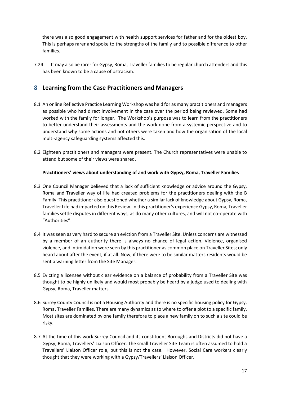there was also good engagement with health support services for father and for the oldest boy. This is perhaps rarer and spoke to the strengths of the family and to possible difference to other families.

7.24 It may also be rarer for Gypsy, Roma, Traveller families to be regular church attenders and this has been known to be a cause of ostracism.

## **8 Learning from the Case Practitioners and Managers**

- 8.1 An online Reflective Practice Learning Workshop was held for as many practitioners and managers as possible who had direct involvement in the case over the period being reviewed. Some had worked with the family for longer. The Workshop's purpose was to learn from the practitioners to better understand their assessments and the work done from a systemic perspective and to understand why some actions and not others were taken and how the organisation of the local multi-agency safeguarding systems affected this.
- 8.2 Eighteen practitioners and managers were present. The Church representatives were unable to attend but some of their views were shared.

#### **Practitioners' views about understanding of and work with Gypsy, Roma, Traveller Families**

- 8.3 One Council Manager believed that a lack of sufficient knowledge or advice around the Gypsy, Roma and Traveller way of life had created problems for the practitioners dealing with the B Family. This practitioner also questioned whether a similar lack of knowledge about Gypsy, Roma, Traveller Life had impacted on this Review. In this practitioner's experience Gypsy, Roma, Traveller families settle disputes in different ways, as do many other cultures, and will not co-operate with "Authorities".
- 8.4 It was seen as very hard to secure an eviction from a Traveller Site. Unless concerns are witnessed by a member of an authority there is always no chance of legal action. Violence, organised violence, and intimidation were seen by this practitioner as common place on Traveller Sites; only heard about after the event, if at all. Now, if there were to be similar matters residents would be sent a warning letter from the Site Manager.
- 8.5 Evicting a licensee without clear evidence on a balance of probability from a Traveller Site was thought to be highly unlikely and would most probably be heard by a judge used to dealing with Gypsy, Roma, Traveller matters.
- 8.6 Surrey County Council is not a Housing Authority and there is no specific housing policy for Gypsy, Roma, Traveller Families. There are many dynamics as to where to offer a plot to a specific family. Most sites are dominated by one family therefore to place a new family on to such a site could be risky.
- 8.7 At the time of this work Surrey Council and its constituent Boroughs and Districts did not have a Gypsy, Roma, Travellers' Liaison Officer. The small Traveller Site Team is often assumed to hold a Travellers' Liaison Officer role, but this is not the case. However, Social Care workers clearly thought that they were working with a Gypsy/Travellers' Liaison Officer.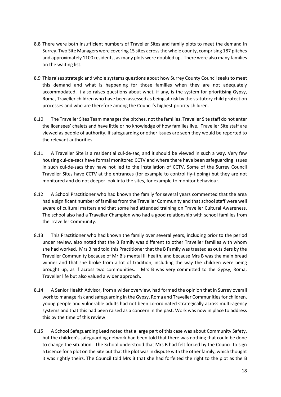- 8.8 There were both insufficient numbers of Traveller Sites and family plots to meet the demand in Surrey. Two Site Managers were covering 15 sites across the whole county, comprising 187 pitches and approximately 1100 residents, as many plots were doubled up. There were also many families on the waiting list.
- 8.9 This raises strategic and whole systems questions about how Surrey County Council seeks to meet this demand and what is happening for those families when they are not adequately accommodated. It also raises questions about what, if any, is the system for prioritising Gypsy, Roma, Traveller children who have been assessed as being at risk by the statutory child protection processes and who are therefore among the Council's highest priority children.
- 8.10 The Traveller Sites Team manages the pitches, not the families. Traveller Site staff do not enter the licensees' chalets and have little or no knowledge of how families live. Traveller Site staff are viewed as people of authority. If safeguarding or other issues are seen they would be reported to the relevant authorities.
- 8.11 A Traveller Site is a residential cul-de-sac, and it should be viewed in such a way. Very few housing cul-de-sacs have formal monitored CCTV and where there have been safeguarding issues in such cul-de-sacs they have not led to the installation of CCTV. Some of the Surrey Council Traveller Sites have CCTV at the entrances (for example to control fly-tipping) but they are not monitored and do not deeper look into the sites, for example to monitor behaviour.
- 8.12 A School Practitioner who had known the family for several years commented that the area had a significant number of families from the Traveller Community and that school staff were well aware of cultural matters and that some had attended training on Traveller Cultural Awareness. The school also had a Traveller Champion who had a good relationship with school families from the Traveller Community.
- 8.13 This Practitioner who had known the family over several years, including prior to the period under review, also noted that the B Family was different to other Traveller families with whom she had worked. Mrs B had told this Practitioner that the B Family was treated as outsiders by the Traveller Community because of Mr B's mental ill health, and because Mrs B was the main bread winner and that she broke from a lot of tradition, including the way the children were being brought up, as if across two communities. Mrs B was very committed to the Gypsy, Roma, Traveller life but also valued a wider approach.
- 8.14 A Senior Health Advisor, from a wider overview, had formed the opinion that in Surrey overall work to manage risk and safeguarding in the Gypsy, Roma and Traveller Communities for children, young people and vulnerable adults had not been co-ordinated strategically across multi-agency systems and that this had been raised as a concern in the past. Work was now in place to address this by the time of this review.
- 8.15 A School Safeguarding Lead noted that a large part of this case was about Community Safety, but the children's safeguarding network had been told that there was nothing that could be done to change the situation. The School understood that Mrs B had felt forced by the Council to sign a Licence for a plot on the Site but that the plot was in dispute with the other family, which thought it was rightly theirs. The Council told Mrs B that she had forfeited the right to the plot as the B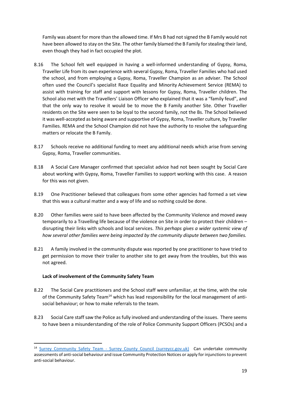Family was absent for more than the allowed time. If Mrs B had not signed the B Family would not have been allowed to stay on the Site. The other family blamed the B Family for stealing their land, even though they had in fact occupied the plot.

- 8.16 The School felt well equipped in having a well-informed understanding of Gypsy, Roma, Traveller Life from its own experience with several Gypsy, Roma, Traveller Families who had used the school, and from employing a Gypsy, Roma, Traveller Champion as an adviser. The School often used the Council's specialist Race Equality and Minority Achievement Service (REMA) to assist with training for staff and support with lessons for Gypsy, Roma, Traveller children. The School also met with the Travellers' Liaison Officer who explained that it was a "family feud", and that the only way to resolve it would be to move the B Family another Site. Other Traveller residents on the Site were seen to be loyal to the second family, not the Bs. The School believed it was well-accepted as being aware and supportive of Gypsy, Roma, Traveller culture, by Traveller Families. REMA and the School Champion did not have the authority to resolve the safeguarding matters or relocate the B Family.
- 8.17 Schools receive no additional funding to meet any additional needs which arise from serving Gypsy, Roma, Traveller communities.
- 8.18 A Social Care Manager confirmed that specialist advice had not been sought by Social Care about working with Gypsy, Roma, Traveller Families to support working with this case. A reason for this was not given.
- 8.19 One Practitioner believed that colleagues from some other agencies had formed a set view that this was a cultural matter and a way of life and so nothing could be done.
- 8.20 Other families were said to have been affected by the Community Violence and moved away temporarily to a Travelling life because of the violence on Site in order to protect their children – disrupting their links with schools and local services. *This perhaps gives a wider systemic view of how several other families were being impacted by the community dispute between two families.*
- 8.21 A family involved in the community dispute was reported by one practitioner to have tried to get permission to move their trailer to another site to get away from the troubles, but this was not agreed.

#### **Lack of involvement of the Community Safety Team**

- 8.22 The Social Care practitioners and the School staff were unfamiliar, at the time, with the role of the Community Safety Team<sup>14</sup> which has lead responsibility for the local management of antisocial behaviour; or how to make referrals to the team.
- 8.23 Social Care staff saw the Police as fully involved and understanding of the issues. There seems to have been a misunderstanding of the role of Police Community Support Officers (PCSOs) and a

<sup>&</sup>lt;sup>14</sup> Surrey Community Safety Team - [Surrey County Council \(surreycc.gov.uk\)](https://www.surreycc.gov.uk/people-and-community/emergency-planning-and-community-safety/community-safety/surrey-community-safety-team) Can undertake community assessments of anti-social behaviour and issue Community Protection Notices or apply for injunctions to prevent anti-social behaviour.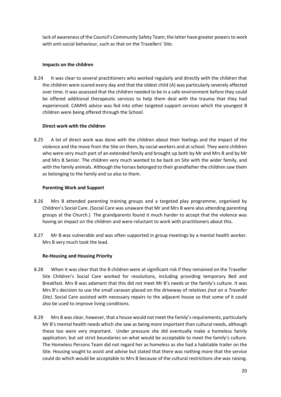lack of awareness of the Council's Community Safety Team; the latter have greater powers to work with anti-social behaviour, such as that on the Travellers' Site.

#### **Impacts on the children**

8.24 It was clear to several practitioners who worked regularly and directly with the children that the children were scared every day and that the oldest child (A) was particularly severely affected over time. It was assessed that the children needed to be in a safe environment before they could be offered additional therapeutic services to help them deal with the trauma that they had experienced. CAMHS advice was fed into other targeted support services which the youngest B children were being offered through the School.

#### **Direct work with the children**

8.25 A lot of direct work was done with the children about their feelings and the impact of the violence and the move from the Site on them, by social workers and at school. They were children who were very much part of an extended family and brought up both by Mr and Mrs B and by Mr and Mrs B Senior. The children very much wanted to be back on Site with the wider family, and with the family animals. Although the horses belonged to their grandfather the children saw them as belonging to the family and so also to them.

#### **Parenting Work and Support**

- 8.26 Mrs B attended parenting training groups and a targeted play programme, organised by Children's Social Care. (Social Care was unaware that Mr and Mrs B were also attending parenting groups at the Church.) The grandparents found it much harder to accept that the violence was having an impact on the children and were reluctant to work with practitioners about this.
- 8.27 Mr B was vulnerable and was often supported in group meetings by a mental health worker. Mrs B very much took the lead.

#### **Re-Housing and Housing Priority**

- 8.28 When it was clear that the B children were at significant risk if they remained on the Traveller Site Children's Social Care worked for resolutions, including providing temporary Bed and Breakfast. Mrs B was adamant that this did not meet Mr B's needs or the family's culture. It was Mrs B's decision to use the small caravan placed on the driveway of relatives *(not on a Traveller Site)*. Social Care assisted with necessary repairs to the adjacent house so that some of it could also be used to improve living conditions.
- 8.29 Mrs B was clear, however, that a house would not meet the family'srequirements, particularly Mr B's mental health needs which she saw as being more important than cultural needs, although these too were very important. Under pressure she did eventually make a homeless family application; but set strict boundaries on what would be acceptable to meet the family's culture. The Homeless Persons Team did not regard her as homeless as she had a habitable trailer on the Site. Housing sought to assist and advise but stated that there was nothing more that the service could do which would be acceptable to Mrs B because of the cultural restrictions she was raising.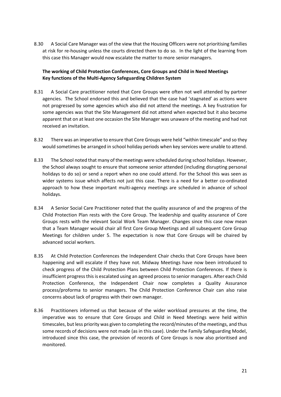8.30 A Social Care Manager was of the view that the Housing Officers were not prioritising families at risk for re-housing unless the courts directed them to do so. In the light of the learning from this case this Manager would now escalate the matter to more senior managers.

#### **The working of Child Protection Conferences, Core Groups and Child in Need Meetings Key functions of the Multi-Agency Safeguarding Children System**

- 8.31 A Social Care practitioner noted that Core Groups were often not well attended by partner agencies. The School endorsed this and believed that the case had 'stagnated' as actions were not progressed by some agencies which also did not attend the meetings. A key frustration for some agencies was that the Site Management did not attend when expected but it also become apparent that on at least one occasion the Site Manager was unaware of the meeting and had not received an invitation.
- 8.32 There was an imperative to ensure that Core Groups were held "within timescale" and so they would sometimes be arranged in school holiday periods when key services were unable to attend.
- 8.33 The School noted that many of the meetings were scheduled during school holidays. However, the School always sought to ensure that someone senior attended (including disrupting personal holidays to do so) or send a report when no one could attend. For the School this was seen as wider systems issue which affects not just this case. There is a need for a better co-ordinated approach to how these important multi-agency meetings are scheduled in advance of school holidays.
- 8.34 A Senior Social Care Practitioner noted that the quality assurance of and the progress of the Child Protection Plan rests with the Core Group. The leadership and quality assurance of Core Groups rests with the relevant Social Work Team Manager. Changes since this case now mean that a Team Manager would chair all first Core Group Meetings and all subsequent Core Group Meetings for children under 5. The expectation is now that Core Groups will be chaired by advanced social workers.
- 8.35 At Child Protection Conferences the Independent Chair checks that Core Groups have been happening and will escalate if they have not. Midway Meetings have now been introduced to check progress of the Child Protection Plans between Child Protection Conferences. If there is insufficient progress this is escalated using an agreed process to senior managers. After each Child Protection Conference, the Independent Chair now completes a Quality Assurance process/proforma to senior managers. The Child Protection Conference Chair can also raise concerns about lack of progress with their own manager.
- 8.36 Practitioners informed us that because of the wider workload pressures at the time, the imperative was to ensure that Core Groups and Child in Need Meetings were held within timescales, but less priority was given to completing the record/minutes of the meetings, and thus some records of decisions were not made (as in this case). Under the Family Safeguarding Model, introduced since this case, the provision of records of Core Groups is now also prioritised and monitored.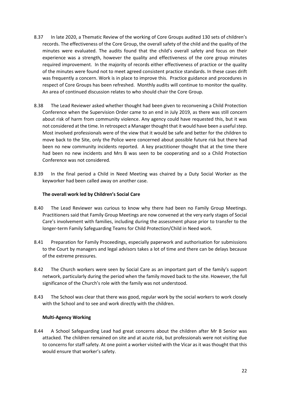- 8.37 In late 2020, a Thematic Review of the working of Core Groups audited 130 sets of children's records. The effectiveness of the Core Group, the overall safety of the child and the quality of the minutes were evaluated. The audits found that the child's overall safety and focus on their experience was a strength, however the quality and effectiveness of the core group minutes required improvement. In the majority of records either effectiveness of practice or the quality of the minutes were found not to meet agreed consistent practice standards. In these cases drift was frequently a concern. Work is in place to improve this. Practice guidance and procedures in respect of Core Groups has been refreshed. Monthly audits will continue to monitor the quality. An area of continued discussion relates to who should chair the Core Group.
- 8.38 The Lead Reviewer asked whether thought had been given to reconvening a Child Protection Conference when the Supervision Order came to an end in July 2019, as there was still concern about risk of harm from community violence. Any agency could have requested this, but it was not considered at the time. In retrospect a Manager thought that it would have been a useful step. Most involved professionals were of the view that it would be safe and better for the children to move back to the Site, only the Police were concerned about possible future risk but there had been no new community incidents reported. A key practitioner thought that at the time there had been no new incidents and Mrs B was seen to be cooperating and so a Child Protection Conference was not considered*.*
- 8.39 In the final period a Child in Need Meeting was chaired by a Duty Social Worker as the keyworker had been called away on another case.

#### **The overall work led by Children's Social Care**

- 8.40 The Lead Reviewer was curious to know why there had been no Family Group Meetings. Practitioners said that Family Group Meetings are now convened at the very early stages of Social Care's involvement with families, including during the assessment phase prior to transfer to the longer-term Family Safeguarding Teams for Child Protection/Child in Need work.
- 8.41 Preparation for Family Proceedings, especially paperwork and authorisation for submissions to the Court by managers and legal advisors takes a lot of time and there can be delays because of the extreme pressures.
- 8.42 The Church workers were seen by Social Care as an important part of the family's support network, particularly during the period when the family moved back to the site. However, the full significance of the Church's role with the family was not understood.
- 8.43 The School was clear that there was good, regular work by the social workers to work closely with the School and to see and work directly with the children.

#### **Multi-Agency Working**

8.44 A School Safeguarding Lead had great concerns about the children after Mr B Senior was attacked. The children remained on site and at acute risk, but professionals were not visiting due to concerns for staff safety. At one point a worker visited with the Vicar as it was thought that this would ensure that worker's safety.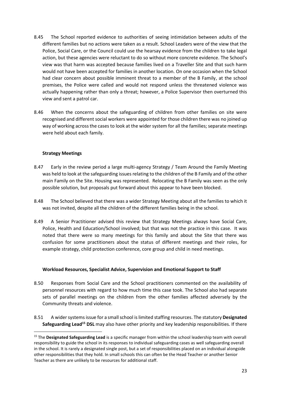- 8.45 The School reported evidence to authorities of seeing intimidation between adults of the different families but no actions were taken as a result. School Leaders were of the view that the Police, Social Care, or the Council could use the hearsay evidence from the children to take legal action, but these agencies were reluctant to do so without more concrete evidence. The School's view was that harm was accepted because families lived on a Traveller Site and that such harm would not have been accepted for families in another location. On one occasion when the School had clear concern about possible imminent threat to a member of the B Family, at the school premises, the Police were called and would not respond unless the threatened violence was actually happening rather than only a threat; however, a Police Supervisor then overturned this view and sent a patrol car.
- 8.46 When the concerns about the safeguarding of children from other families on site were recognised and different social workers were appointed for those children there was no joined up way of working across the cases to look at the wider system for all the families; separate meetings were held about each family.

#### **Strategy Meetings**

- 8.47 Early in the review period a large multi-agency Strategy / Team Around the Family Meeting was held to look at the safeguarding issues relating to the children of the B Family and of the other main Family on the Site. Housing was represented. Relocating the B Family was seen as the only possible solution, but proposals put forward about this appear to have been blocked.
- 8.48 The School believed that there was a wider Strategy Meeting about all the families to which it was not invited, despite all the children of the different families being in the school.
- 8.49 A Senior Practitioner advised this review that Strategy Meetings always have Social Care, Police, Health and Education/School involved; but that was not the practice in this case. It was noted that there were so many meetings for this family and about the Site that there was confusion for some practitioners about the status of different meetings and their roles, for example strategy, child protection conference, core group and child in need meetings.

#### **Workload Resources, Specialist Advice, Supervision and Emotional Support to Staff**

- 8.50 Responses from Social Care and the School practitioners commented on the availability of personnel resources with regard to how much time this case took. The School also had separate sets of parallel meetings on the children from the other families affected adversely by the Community threats and violence.
- 8.51 A wider systems issue for a small school islimited staffing resources. The statutory **Designated Safeguarding Lead<sup>15</sup> DSL** may also have other priority and key leadership responsibilities. If there

<sup>15</sup> The **Designated Safeguarding Lead** is a specific manager from within the school leadership team with overall responsibility to guide the school in its responses to individual safeguarding cases as well safeguarding overall in the school. It is rarely a designated single post, but a set of responsibilities placed on an individual alongside other responsibilities that they hold. In small schools this can often be the Head Teacher or another Senior Teacher as there are unlikely to be resources for additional staff.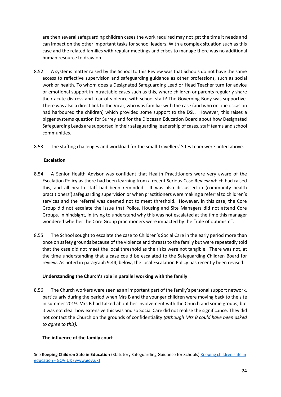are then several safeguarding children cases the work required may not get the time it needs and can impact on the other important tasks for school leaders. With a complex situation such as this case and the related families with regular meetings and crises to manage there was no additional human resource to draw on.

- 8.52 A systems matter raised by the School to this Review was that Schools do not have the same access to reflective supervision and safeguarding guidance as other professions, such as social work or health. To whom does a Designated Safeguarding Lead or Head Teacher turn for advice or emotional support in intractable cases such as this, where children or parents regularly share their acute distress and fear of violence with school staff? The Governing Body was supportive. There was also a direct link to the Vicar, who was familiar with the case (and who on one occasion had harboured the children) which provided some support to the DSL. However, this raises a bigger systems question for Surrey and for the Diocesan Education Board about how Designated Safeguarding Leads are supported in their safeguarding leadership of cases, staff teams and school communities.
- 8.53 The staffing challenges and workload for the small Travellers' Sites team were noted above.

#### **Escalation**

- 8.54 A Senior Health Advisor was confident that Health Practitioners were very aware of the Escalation Policy as there had been learning from a recent Serious Case Review which had raised this, and all health staff had been reminded. It was also discussed in (community health practitioners') safeguarding supervision or when practitioners were making a referral to children's services and the referral was deemed not to meet threshold. However, in this case, the Core Group did not escalate the issue that Police, Housing and Site Managers did not attend Core Groups. In hindsight, in trying to understand why this was not escalated at the time this manager wondered whether the Core Group practitioners were impacted by the "rule of optimism".
- 8.55 The School sought to escalate the case to Children's Social Care in the early period more than once on safety grounds because of the violence and threats to the family but were repeatedly told that the case did not meet the local threshold as the risks were not tangible. There was not, at the time understanding that a case could be escalated to the Safeguarding Children Board for review. As noted in paragraph 9.44, below, the local Escalation Policy has recently been revised.

#### **Understanding the Church's role in parallel working with the family**

8.56 The Church workers were seen as an important part of the family's personal support network, particularly during the period when Mrs B and the younger children were moving back to the site in summer 2019. Mrs B had talked about her involvement with the Church and some groups, but it was not clear how extensive this was and so Social Care did not realise the significance. They did not contact the Church on the grounds of confidentiality *(although Mrs B could have been asked to agree to this).* 

#### **The influence of the family court**

See **Keeping Children Safe in Education** (Statutory Safeguarding Guidance for Schools) [Keeping children safe in](https://www.gov.uk/government/publications/keeping-children-safe-in-education--2)  education - [GOV.UK \(www.gov.uk\)](https://www.gov.uk/government/publications/keeping-children-safe-in-education--2)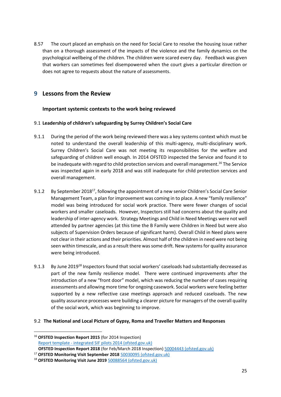8.57 The court placed an emphasis on the need for Social Care to resolve the housing issue rather than on a thorough assessment of the impacts of the violence and the family dynamics on the psychological wellbeing of the children. The children were scared every day. Feedback was given that workers can sometimes feel disempowered when the court gives a particular direction or does not agree to requests about the nature of assessments.

## **9 Lessons from the Review**

#### **Important systemic contexts to the work being reviewed**

#### 9.1 **Leadership of children's safeguarding by Surrey Children's Social Care**

- 9.1.1 During the period of the work being reviewed there was a key systems context which must be noted to understand the overall leadership of this multi-agency, multi-disciplinary work. Surrey Children's Social Care was not meeting its responsibilities for the welfare and safeguarding of children well enough. In 2014 OFSTED inspected the Service and found it to be inadequate with regard to child protection services and overall management.<sup>16</sup> The Service was inspected again in early 2018 and was still inadequate for child protection services and overall management.
- 9.1.2 By September 2018<sup>17</sup>, following the appointment of a new senior Children's Social Care Senior Management Team, a plan for improvement was coming in to place. A new "family resilience" model was being introduced for social work practice. There were fewer changes of social workers and smaller caseloads. However, Inspectors still had concerns about the quality and leadership of inter-agency work. Strategy Meetings and Child in Need Meetings were not well attended by partner agencies (at this time the B Family were Children in Need but were also subjects of Supervision Orders because of significant harm). Overall Child in Need plans were not clearin their actions and their priorities. Almost half of the children in need were not being seen within timescale, and as a result there was some drift. New systems for quality assurance were being introduced.
- 9.1.3 By June 2019<sup>18</sup> Inspectors found that social workers' caseloads had substantially decreased as part of the new family resilience model. There were continued improvements after the introduction of a new "front door" model, which was reducing the number of cases requiring assessments and allowing more time for ongoing casework. Social workers were feeling better supported by a new reflective case meetings approach and reduced caseloads. The new quality assurance processes were building a clearer picture for managers of the overall quality of the social work, which was beginning to improve.

#### 9.2 **The National and Local Picture of Gypsy, Roma and Traveller Matters and Responses**

<sup>16</sup> **OFSTED Inspection Report 2015** (for 2014 Inspection) Report template - [integrated SIF pilots 2014 \(ofsted.gov.uk\)](https://files.ofsted.gov.uk/v1/file/50004296)  **OFSTED Inspection Report 2018** (for Feb/March 2018 Inspection) [50004443 \(ofsted.gov.uk\)](https://files.ofsted.gov.uk/v1/file/50004443)

<sup>17</sup> **OFSTED Monitoring Visit September 2018** [50030095 \(ofsted.gov.uk\)](https://files.ofsted.gov.uk/v1/file/50030095)

<sup>18</sup> **OFSTED Monitoring Visit June 2019** [50088564 \(ofsted.gov.uk\)](https://files.ofsted.gov.uk/v1/file/50088564)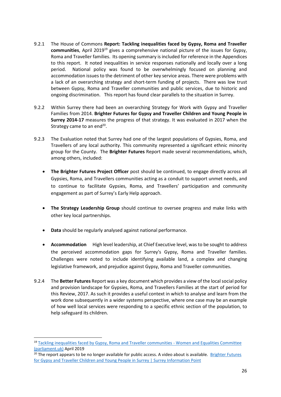- 9.2.1 The House of Commons **Report: Tackling inequalities faced by Gypsy, Roma and Traveller communities**. April 2019<sup>19</sup> gives a comprehensive national picture of the issues for Gypsy, Roma and Traveller families. Its opening summary is included for reference in the Appendices to this report. It noted inequalities in service responses nationally and locally over a long period. National policy was found to be overwhelmingly focused on planning and accommodation issues to the detriment of other key service areas. There were problems with a lack of an overarching strategy and short-term funding of projects. There was low trust between Gypsy, Roma and Traveller communities and public services, due to historic and ongoing discrimination. This report has found clear parallels to the situation in Surrey.
- 9.2.2 Within Surrey there had been an overarching Strategy for Work with Gypsy and Traveller Families from 2014. **Brighter Futures for Gypsy and Traveller Children and Young People in Surrey 2014-17** measures the progress of that strategy. It was evaluated in 2017 when the Strategy came to an end<sup>20</sup>.
- 9.2.3 The Evaluation noted that Surrey had one of the largest populations of Gypsies, Roma, and Travellers of any local authority. This community represented a significant ethnic minority group for the County. The **Brighter Futures** Report made several recommendations, which, among others, included:
	- **The Brighter Futures Project Officer** post should be continued, to engage directly across all Gypsies, Roma, and Travellers communities acting as a conduit to support unmet needs, and to continue to facilitate Gypsies, Roma, and Travellers' participation and community engagement as part of Surrey's Early Help approach.
	- **The Strategy Leadership Group** should continue to oversee progress and make links with other key local partnerships.
	- **Data** should be regularly analysed against national performance.
	- **Accommodation** High level leadership, at Chief Executive level, was to be sought to address the perceived accommodation gaps for Surrey's Gypsy, Roma and Traveller families. Challenges were noted to include identifying available land, a complex and changing legislative framework, and prejudice against Gypsy, Roma and Traveller communities.
- 9.2.4 The **Better Futures** Report was a key document which provides a view of the local social policy and provision landscape for Gypsies, Roma, and Travellers Families at the start of period for this Review, 2017. As such it provides a useful context in which to analyse and learn from the work done subsequently in a wider systems perspective, where one case may be an example of how well local services were responding to a specific ethnic section of the population, to help safeguard its children.

<sup>&</sup>lt;sup>19</sup> [Tackling inequalities faced by Gypsy, Roma and Traveller communities -](https://publications.parliament.uk/pa/cm201719/cmselect/cmwomeq/360/full-report.html) Women and Equalities Committee [\(parliament.uk\)](https://publications.parliament.uk/pa/cm201719/cmselect/cmwomeq/360/full-report.html) April 2019

 $20$  The report appears to be no longer available for public access. A video about is available. Brighter Futures [for Gypsy and Traveller Children and Young People in Surrey | Surrey Information Point](https://www.surreyinformationpoint.org.uk/Information/BrighterFutures)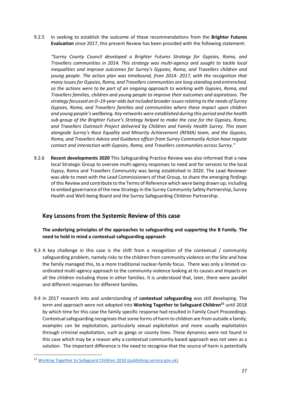9.2.5 In seeking to establish the outcome of these recommendations from the **Brighter Futures Evaluation** since 2017, this present Review has been provided with the following statement:

*"Surrey County Council developed a Brighter Futures Strategy for Gypsies, Roma, and Travellers communities in 2014. This strategy was multi-agency and sought to tackle local inequalities and improve outcomes for Surrey's Gypsies, Roma, and Travellers children and young people. The action plan was timebound, from 2014- 2017, with the recognition that many issues for Gypsies, Roma, and Travellers communities are long-standing and entrenched, so the actions were to be part of an ongoing approach to working with Gypsies, Roma, and Travellers families, children and young people to improve their outcomes and aspirations. The strategy focussed on 0–19-year-olds but included broader issues relating to the needs of Surrey Gypsies, Roma, and Travellers families and communities where these impact upon children and young people's wellbeing. Key networks were established during this period and the health sub-group of the Brighter Future's Strategy helped to make the case for the Gypsies, Roma, and Travellers Outreach Project delivered by Children and Family Health Surrey. This team alongside Surrey's Race Equality and Minority Achievement (REMA) team, and the Gypsies, Roma, and Travellers Advice and Guidance officer from Surrey Community Action have regular contact and interaction with Gypsies, Roma, and Travellers communities across Surrey."*

9.2.6 **Recent developments 2020** This Safeguarding Practice Review was also informed that a new local Strategic Group to oversee multi-agency responses to need and for services to the local Gypsy, Roma and Travellers Community was being established in 2020. The Lead Reviewer was able to meet with the Lead Commissioners of that Group, to share the emerging findings of this Review and contribute to the Terms of Reference which were being drawn up; including to embed governance of the new Strategy in the Surrey Community Safety Partnership, Surrey Health and Well-being Board and the Surrey Safeguarding Children Partnership.

## **Key Lessons from the Systemic Review of this case**

**The underlying principles of the approaches to safeguarding and supporting the B Family. The need to hold in mind a contextual safeguarding approach** 

- 9.3 A key challenge in this case is the shift from a recognition of the contextual / community safeguarding problem, namely risks to the children from community violence on the Site and how the family managed this, to a more traditional nuclear-family focus. There was only a limited coordinated multi-agency approach to the community violence looking at its causes and impacts on all the children including those in other families. It is understood that, later, there were parallel and different responses for different families.
- 9.4 In 2017 research into and understanding of **contextual safeguarding** was still developing. The term and approach were not adopted into **Working Together to Safeguard Children<sup>21</sup>** until 2018 by which time for this case the family specific response had resulted in Family Court Proceedings. Contextual safeguarding recognises that some forms of harm to children are from outside a family; examples can be exploitation, particularly sexual exploitation and more usually exploitation through criminal exploitation, such as gangs or county lines. These dynamics were not found in this case which may be a reason why a contextual community-based approach was not seen as a solution. The important difference is the need to recognise that the source of harm is potentially

<sup>21</sup> [Working Together to Safeguard Children 2018 \(publishing.service.gov.uk\)](https://assets.publishing.service.gov.uk/government/uploads/system/uploads/attachment_data/file/942454/Working_together_to_safeguard_children_inter_agency_guidance.pdf)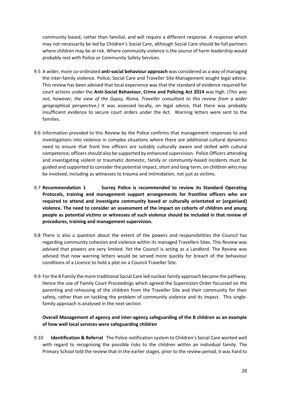community based, rather than familial, and will require a different response. A response which may not necessarily be led by Children's Social Care, although Social Care should be full partners where children may be at risk. Where community violence is the source of harm leadership would probably rest with Police or Community Safety Services.

- 9.5 A wider, more co-ordinated **anti-social behaviour approach** was considered as a way of managing the inter-family violence. Police, Social Care and Traveller Site Management sought legal advice. This review has been advised that local experience was that the standard of evidence required for court actions under the **Anti-Social Behaviour, Crime and Policing Act 2014** was high. (*This was not, however, the view of the Gypsy, Roma, Traveller consultant to this review from a wider geographical perspective.)* It was assessed locally, on legal advice, that there was probably insufficient evidence to secure court orders under the Act. Warning letters were sent to the families.
- 9.6 Information provided to this Review by the Police confirms that management responses to and investigations into violence in complex situations where there are additional cultural dynamics need to ensure that front line officers are suitably culturally aware and skilled with cultural competence; officers should also be supported by enhanced supervision. Police Officers attending and investigating violent or traumatic domestic, family or community-based incidents must be guided and supported to consider the potential impact, short and long-term, on children who may be involved, including as witnesses to trauma and intimidation, not just as victims.
- 9.7 **Recommendation 1 Surrey Police is recommended to review its Standard Operating Protocols, training and management support arrangements for frontline officers who are required to attend and investigate community based or culturally orientated or (organised) violence. The need to consider an assessment of the impact on cohorts of children and young people as potential victims or witnesses of such violence should be included in that review of procedures, training and management supervision.**
- 9.8 There is also a question about the extent of the powers and responsibilities the Council has regarding community cohesion and violence within its managed Travellers Sites. This Review was advised that powers are very limited. Yet the Council is acting as a Landlord. The Review was advised that now warning letters would be served more quickly for breach of the behaviour conditions of a Licence to hold a plot on a Council Traveller Site.
- 9.9 For the B Family the more traditional Social Care led nuclearfamily approach became the pathway. Hence the use of Family Court Proceedings which agreed the Supervision Order focussed on the parenting and rehousing of the children from the Traveller Site and their community for their safety, rather than on tackling the problem of community violence and its impact. This singlefamily approach is analysed in the next section.

#### **Overall Management of agency and inter-agency safeguarding of the B children as an example of how well local services were safeguarding children**

9.10 **Identification & Referral** The Police notification system to Children's Social Care worked well with regard to recognising the possible risks to the children within an individual family. The Primary School told the review that in the earlier stages, prior to the review period, it was hard to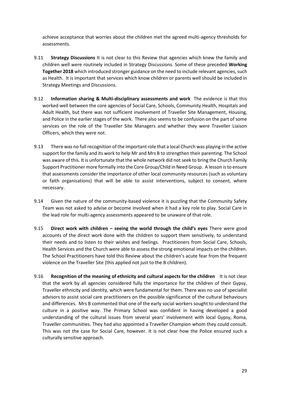achieve acceptance that worries about the children met the agreed multi-agency thresholds for assessments.

- 9.11 **Strategy Discussions** It is not clear to this Review that agencies which knew the family and children well were routinely included in Strategy Discussions. Some of these preceded **Working Together 2018** which introduced stronger guidance on the need to include relevant agencies, such as Health. It is important that services which know children or parents well should be included in Strategy Meetings and Discussions.
- 9.12 **Information sharing & Multi-disciplinary assessments and work** The evidence is that this worked well between the core agencies of Social Care, Schools, Community Health, Hospitals and Adult Health, but there was not sufficient involvement of Traveller Site Management, Housing, and Police in the earlier stages of the work. There also seems to be confusion on the part of some services on the role of the Traveller Site Managers and whether they were Traveller Liaison Officers, which they were not.
- 9.13 There was no full recognition of the important role that a local Church was playing in the active support for the family and its work to help Mr and Mrs B to strengthen their parenting. The School was aware of this. It is unfortunate that the whole network did not seek to bring the Church Family Support Practitioner more formally into the Core Group/Child in Need Group. A lesson is to ensure that assessments consider the importance of other local community resources (such as voluntary or faith organisations) that will be able to assist interventions, subject to consent, where necessary.
- 9.14 Given the nature of the community-based violence it is puzzling that the Community Safety Team was not asked to advise or become involved when it had a key role to play. Social Care in the lead role for multi-agency assessments appeared to be unaware of that role.
- 9.15 **Direct work with children – seeing the world through the child's eyes** There were good accounts of the direct work done with the children to support them sensitively, to understand their needs and to listen to their wishes and feelings. Practitioners from Social Care, Schools, Health Services and the Church were able to assess the strong emotional impacts on the children. The School Practitioners have told this Review about the children's acute fear from the frequent violence on the Traveller Site (this applied not just to the B children).
- 9.16 **Recognition of the meaning of ethnicity and cultural aspects for the children** It is not clear that the work by all agencies considered fully the importance for the children of their Gypsy, Traveller ethnicity and identity, which were fundamental for them. There was no use of specialist advisors to assist social care practitioners on the possible significance of the cultural behaviours and differences. Mrs B commented that one of the early social workers sought to understand the culture in a positive way. The Primary School was confident in having developed a good understanding of the cultural issues from several years' involvement with local Gypsy, Roma, Traveller communities. They had also appointed a Traveller Champion whom they could consult. This was not the case for Social Care, however. It is not clear how the Police ensured such a culturally sensitive approach.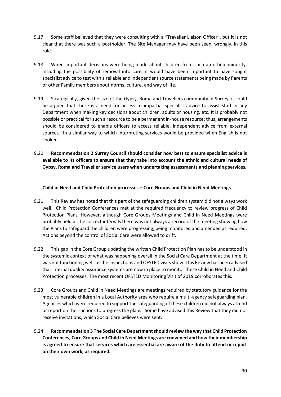- 9.17 Some staff believed that they were consulting with a "Traveller Liaison Officer", but it is not clear that there was such a postholder. The Site Manager may have been seen, wrongly, in this role.
- 9.18 When important decisions were being made about children from such an ethnic minority, including the possibility of removal into care, it would have been important to have sought specialist advice to test with a reliable and independent source statements being made by Parents or other Family members about norms, culture, and way of life.
- 9.19 Strategically, given the size of the Gypsy, Roma and Travellers community in Surrey, it could be argued that there is a need for access to impartial specialist advice to assist staff in any Department when making key decisions about children, adults or housing, etc. It is probably not possible or practical for such a resource to be a permanent in-house resource; thus, arrangements should be considered to enable officers to access reliable, independent advice from external sources. In a similar way to which interpreting services would be provided when English is not spoken.
- 9.20 **Recommendation 2 Surrey Council should consider how best to ensure specialist advice is available to its officers to ensure that they take into account the ethnic and cultural needs of Gypsy, Roma and Traveller service users when undertaking assessments and planning services.**

#### **Child in Need and Child Protection processes – Core Groups and Child in Need Meetings**

- 9.21 This Review has noted that this part of the safeguarding children system did not always work well. Child Protection Conferences met at the required frequency to review progress of Child Protection Plans. However, although Core Groups Meetings and Child in Need Meetings were probably held at the correct intervals there was not always a record of the meeting showing how the Plans to safeguard the children were progressing, being monitored and amended as required. Actions beyond the control of Social Care were allowed to drift.
- 9.22 This gap in the Core Group updating the written Child Protection Plan has to be understood in the systemic context of what was happening overall in the Social Care Department at the time; it was not functioning well, as the Inspections and OFSTED visits show. This Review has been advised that internal quality assurance systems are now in place to monitor these Child in Need and Child Protection processes. The most recent OFSTED Monitoring Visit of 2019 corroborates this.
- 9.23 Core Groups and Child in Need Meetings are meetings required by statutory guidance for the most vulnerable children in a Local Authority area who require a multi-agency safeguarding plan. Agencies which were required to support the safeguarding of these children did not always attend or report on their actions to progress the plans. Some have advised this Review that they did not receive invitations, which Social Care believes were sent.
- 9.24 **Recommendation 3 The Social Care Department should review the way that Child Protection Conferences, Core Groups and Child in Need Meetings are convened and how their membership is agreed to ensure that services which are essential are aware of the duty to attend or report on their own work, as required.**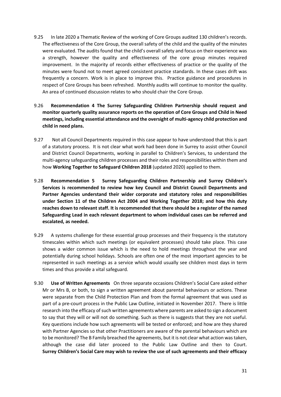- 9.25 In late 2020 a Thematic Review of the working of Core Groups audited 130 children's records. The effectiveness of the Core Group, the overall safety of the child and the quality of the minutes were evaluated. The audits found that the child's overall safety and focus on their experience was a strength, however the quality and effectiveness of the core group minutes required improvement. In the majority of records either effectiveness of practice or the quality of the minutes were found not to meet agreed consistent practice standards. In these cases drift was frequently a concern. Work is in place to improve this. Practice guidance and procedures in respect of Core Groups has been refreshed. Monthly audits will continue to monitor the quality. An area of continued discussion relates to who should chair the Core Group.
- 9.26 **Recommendation 4 The Surrey Safeguarding Children Partnership should request and monitor quarterly quality assurance reports on the operation of Core Groups and Child in Need meetings, including essential attendance and the oversight of multi-agency child protection and child in need plans.**
- 9.27 Not all Council Departments required in this case appear to have understood that this is part of a statutory process. It is not clear what work had been done in Surrey to assist other Council and District Council Departments, working in parallel to Children's Services, to understand the multi-agency safeguarding children processes and their roles and responsibilities within them and how **Working Together to Safeguard Children 2018** (updated 2020) applied to them.
- 9.28 **Recommendation 5 Surrey Safeguarding Children Partnership and Surrey Children's Services is recommended to review how key Council and District Council Departments and Partner Agencies understand their wider corporate and statutory roles and responsibilities under Section 11 of the Children Act 2004 and Working Together 2018; and how this duty reaches down to relevant staff. It is recommended that there should be a register of the named Safeguarding Lead in each relevant department to whom individual cases can be referred and escalated, as needed.**
- 9.29 A systems challenge for these essential group processes and their frequency is the statutory timescales within which such meetings (or equivalent processes) should take place. This case shows a wider common issue which is the need to hold meetings throughout the year and potentially during school holidays. Schools are often one of the most important agencies to be represented in such meetings as a service which would usually see children most days in term times and thus provide a vital safeguard.
- 9.30 **Use of Written Agreements** On three separate occasions Children's Social Care asked either Mr or Mrs B, or both, to sign a written agreement about parental behaviours or actions. These were separate from the Child Protection Plan and from the formal agreement that was used as part of a pre-court process in the Public Law Outline, initiated in November 2017. There is little research into the efficacy of such written agreements where parents are asked to sign a document to say that they will or will not do something. Such as there is suggests that they are not useful. Key questions include how such agreements will be tested or enforced; and how are they shared with Partner Agencies so that other Practitioners are aware of the parental behaviours which are to be monitored? The B Family breached the agreements, but it is not clear what action was taken, although the case did later proceed to the Public Law Outline and then to Court. **Surrey Children's Social Care may wish to review the use of such agreements and their efficacy**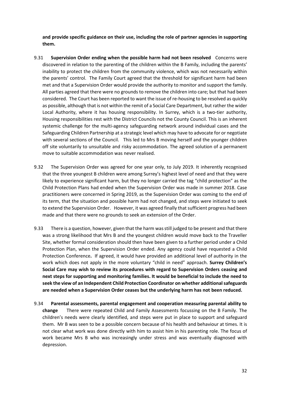**and provide specific guidance on their use, including the role of partner agencies in supporting them.**

- 9.31 **Supervision Order ending when the possible harm had not been resolved** Concerns were discovered in relation to the parenting of the children within the B Family, including the parents' inability to protect the children from the community violence, which was not necessarily within the parents' control. The Family Court agreed that the threshold for significant harm had been met and that a Supervision Order would provide the authority to monitor and support the family. All parties agreed that there were no grounds to remove the children into care; but that had been considered. The Court has been reported to want the issue of re-housing to be resolved as quickly as possible, although that is not within the remit of a Social Care Department, but rather the wider Local Authority, where it has housing responsibility. In Surrey, which is a two-tier authority, Housing responsibilities rest with the District Councils not the County Council. This is an inherent systemic challenge for the multi-agency safeguarding network around individual cases and the Safeguarding Children Partnership at a strategic level which may have to advocate for or negotiate with several sections of the Council. This led to Mrs B moving herself and the younger children off site voluntarily to unsuitable and risky accommodation. The agreed solution of a permanent move to suitable accommodation was never realised.
- 9.32 The Supervision Order was agreed for one year only, to July 2019. It inherently recognised that the three youngest B children were among Surrey's highest level of need and that they were likely to experience significant harm, but they no longer carried the tag "child protection" as the Child Protection Plans had ended when the Supervision Order was made in summer 2018. Case practitioners were concerned in Spring 2019, as the Supervision Order was coming to the end of its term, that the situation and possible harm had not changed, and steps were initiated to seek to extend the Supervision Order. However, it was agreed finally that sufficient progress had been made and that there were no grounds to seek an extension of the Order.
- 9.33 There is a question, however, given that the harm was still judged to be present and that there was a strong likelihood that Mrs B and the youngest children would move back to the Traveller Site, whether formal consideration should then have been given to a further period under a Child Protection Plan, when the Supervision Order ended. Any agency could have requested a Child Protection Conference**.** If agreed, it would have provided an additional level of authority in the work which does not apply in the more voluntary "child in need" approach. **Surrey Children's Social Care may wish to review its procedures with regard to Supervision Orders ceasing and next steps for supporting and monitoring families. It would be beneficial to include the need to seek the view of an Independent Child Protection Coordinator on whether additional safeguards are needed when a Supervision Order ceases but the underlying harm has not been reduced.**
- 9.34 **Parental assessments, parental engagement and cooperation measuring parental ability to change** There were repeated Child and Family Assessments focussing on the B Family. The children's needs were clearly identified, and steps were put in place to support and safeguard them. Mr B was seen to be a possible concern because of his health and behaviour at times. It is not clear what work was done directly with him to assist him in his parenting role. The focus of work became Mrs B who was increasingly under stress and was eventually diagnosed with depression.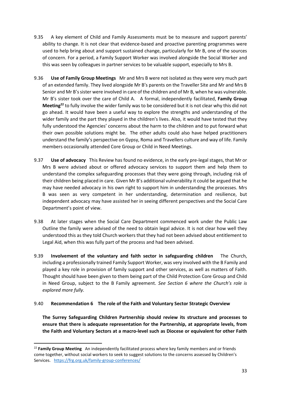- 9.35 A key element of Child and Family Assessments must be to measure and support parents' ability to change. It is not clear that evidence-based and proactive parenting programmes were used to help bring about and support sustained change, particularly for Mr B, one of the sources of concern. For a period, a Family Support Worker was involved alongside the Social Worker and this was seen by colleagues in partner services to be valuable support, especially to Mrs B.
- 9.36 **Use of Family Group Meetings** Mr and Mrs B were not isolated as they were very much part of an extended family. They lived alongside Mr B's parents on the Traveller Site and Mr and Mrs B Senior and Mr B's sister were involved in care of the children and of Mr B, when he was vulnerable. Mr B's sister took over the care of Child A. A formal, independently facilitated, **Family Group Meeting<sup>22</sup>** to fully involve the wider family was to be considered but it is not clear why this did not go ahead. It would have been a useful way to explore the strengths and understanding of the wider family and the part they played in the children's lives. Also, it would have tested that they fully understood the Agencies' concerns about the harm to the children and to put forward what their own possible solutions might be. The other adults could also have helped practitioners understand the family's perspective on Gypsy, Roma and Travellers culture and way of life. Family members occasionally attended Core Group or Child in Need Meetings.
- 9.37 **Use of advocacy** This Review has found no evidence, in the early pre-legal stages, that Mr or Mrs B were advised about or offered advocacy services to support them and help them to understand the complex safeguarding processes that they were going through, including risk of their children being placed in care. Given Mr B's additional vulnerability it could be argued that he may have needed advocacy in his own right to support him in understanding the processes. Mrs B was seen as very competent in her understanding, determination and resilience, but independent advocacy may have assisted her in seeing different perspectives and the Social Care Department's point of view.
- 9.38 At later stages when the Social Care Department commenced work under the Public Law Outline the family were advised of the need to obtain legal advice. It is not clear how well they understood this as they told Church workers that they had not been advised about entitlement to Legal Aid, when this was fully part of the process and had been advised.
- 9.39 **Involvement of the voluntary and faith sector in safeguarding children** The Church, including a professionally trained Family Support Worker, was very involved with the B Family and played a key role in provision of family support and other services, as well as matters of Faith. Thought should have been given to them being part of the Child Protection Core Group and Child in Need Group, subject to the B Family agreement. *See Section 6 where the Church's role is explored more fully.*

#### 9.40 **Recommendation 6 The role of the Faith and Voluntary Sector Strategic Overview**

**The Surrey Safeguarding Children Partnership should review its structure and processes to ensure that there is adequate representation for the Partnership, at appropriate levels, from the Faith and Voluntary Sectors at a macro-level such as Diocese or equivalent for other Faith** 

<sup>22</sup> **Family Group Meeting** An independently facilitated process where key family members and or friends come together, without social workers to seek to suggest solutions to the concerns assessed by Children's Services. <https://frg.org.uk/family-group-conferences/>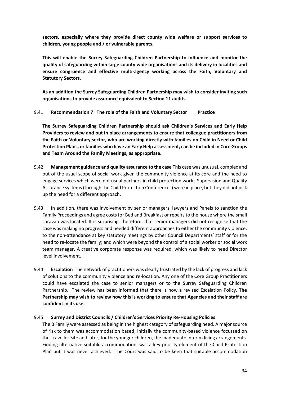**sectors, especially where they provide direct county wide welfare or support services to children, young people and / or vulnerable parents.** 

**This will enable the Surrey Safeguarding Children Partnership to influence and monitor the quality of safeguarding within large county wide organisations and its delivery in localities and ensure congruence and effective multi-agency working across the Faith, Voluntary and Statutory Sectors.** 

**As an addition the Surrey Safeguarding Children Partnership may wish to consider inviting such organisations to provide assurance equivalent to Section 11 audits.** 

#### 9.41 **Recommendation 7 The role of the Faith and Voluntary Sector Practice**

**The Surrey Safeguarding Children Partnership should ask Children's Services and Early Help Providers to review and put in place arrangements to ensure that colleague practitioners from the Faith or Voluntary sector, who are working directly with families on Child in Need or Child Protection Plans, or families who have an Early Help assessment, can be included in Core Groups and Team Around the Family Meetings, as appropriate.** 

- 9.42 **Management guidance and quality assurance to the case** This case was unusual, complex and out of the usual scope of social work given the community violence at its core and the need to engage services which were not usual partners in child protection work. Supervision and Quality Assurance systems (through the Child Protection Conferences) were in place, but they did not pick up the need for a different approach.
- 9.43 In addition, there was involvement by senior managers, lawyers and Panels to sanction the Family Proceedings and agree costs for Bed and Breakfast or repairs to the house where the small caravan was located. It is surprising, therefore, that senior managers did not recognise that the case was making no progress and needed different approaches to either the community violence, to the non-attendance at key statutory meetings by other Council Departments' staff or for the need to re-locate the family; and which were beyond the control of a social worker or social work team manager. A creative corporate response was required, which was likely to need Director level involvement.
- 9.44 **Escalation** The network of practitioners was clearly frustrated by the lack of progress and lack of solutions to the community violence and re-location. Any one of the Core Group Practitioners could have escalated the case to senior managers or to the Surrey Safeguarding Children Partnership. The review has been informed that there is now a revised Escalation Policy. **The Partnership may wish to review how this is working to ensure that Agencies and their staff are confident in its use.**

#### 9.45 **Surrey and District Councils / Children's Services Priority Re-Housing Policies**

The B Family were assessed as being in the highest category of safeguarding need. A major source of risk to them was accommodation based; initially the community-based violence focussed on the Traveller Site and later, for the younger children, the inadequate interim living arrangements. Finding alternative suitable accommodation, was a key priority element of the Child Protection Plan but it was never achieved. The Court was said to be keen that suitable accommodation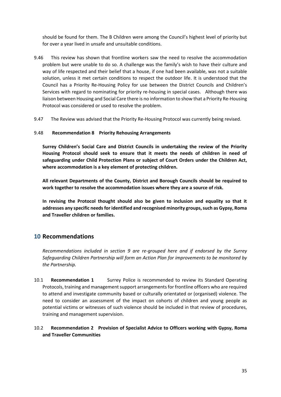should be found for them. The B Children were among the Council's highest level of priority but for over a year lived in unsafe and unsuitable conditions.

- 9.46 This review has shown that frontline workers saw the need to resolve the accommodation problem but were unable to do so. A challenge was the family's wish to have their culture and way of life respected and their belief that a house, if one had been available, was not a suitable solution, unless it met certain conditions to respect the outdoor life. It is understood that the Council has a Priority Re-Housing Policy for use between the District Councils and Children's Services with regard to nominating for priority re-housing in special cases. Although there was liaison between Housing and Social Care there is no information to show that a Priority Re-Housing Protocol was considered or used to resolve the problem.
- 9.47 The Review was advised that the Priority Re-Housing Protocol was currently being revised.

#### 9.48 **Recommendation 8 Priority Rehousing Arrangements**

**Surrey Children's Social Care and District Councils in undertaking the review of the Priority Housing Protocol should seek to ensure that it meets the needs of children in need of safeguarding under Child Protection Plans or subject of Court Orders under the Children Act, where accommodation is a key element of protecting children.** 

**All relevant Departments of the County, District and Borough Councils should be required to work together to resolve the accommodation issues where they are a source of risk.** 

**In revising the Protocol thought should also be given to inclusion and equality so that it addresses any specific needs for identified and recognised minority groups, such as Gypsy, Roma and Traveller children or families.** 

## **10 Recommendations**

*Recommendations included in section 9 are re-grouped here and if endorsed by the Surrey Safeguarding Children Partnership will form an Action Plan for improvements to be monitored by the Partnership.* 

10.1 **Recommendation 1** Surrey Police is recommended to review its Standard Operating Protocols, training and management support arrangements for frontline officers who are required to attend and investigate community based or culturally orientated or (organised) violence. The need to consider an assessment of the impact on cohorts of children and young people as potential victims or witnesses of such violence should be included in that review of procedures, training and management supervision.

#### 10.2 **Recommendation 2 Provision of Specialist Advice to Officers working with Gypsy, Roma and Traveller Communities**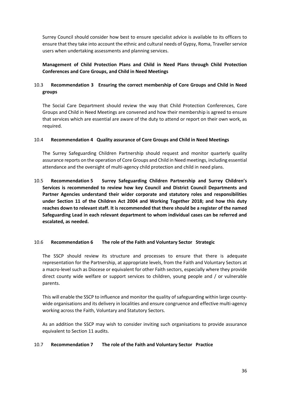Surrey Council should consider how best to ensure specialist advice is available to its officers to ensure that they take into account the ethnic and cultural needs of Gypsy, Roma, Traveller service users when undertaking assessments and planning services.

**Management of Child Protection Plans and Child in Need Plans through Child Protection Conferences and Core Groups, and Child in Need Meetings** 

### 10.3 **Recommendation 3 Ensuring the correct membership of Core Groups and Child in Need groups**

The Social Care Department should review the way that Child Protection Conferences, Core Groups and Child in Need Meetings are convened and how their membership is agreed to ensure that services which are essential are aware of the duty to attend or report on their own work, as required.

#### 10.4 **Recommendation 4 Quality assurance of Core Groups and Child in Need Meetings**

The Surrey Safeguarding Children Partnership should request and monitor quarterly quality assurance reports on the operation of Core Groups and Child in Need meetings, including essential attendance and the oversight of multi-agency child protection and child in need plans.

10.5 **Recommendation 5 Surrey Safeguarding Children Partnership and Surrey Children's Services is recommended to review how key Council and District Council Departments and Partner Agencies understand their wider corporate and statutory roles and responsibilities under Section 11 of the Children Act 2004 and Working Together 2018; and how this duty reaches down to relevant staff. It is recommended that there should be a register of the named Safeguarding Lead in each relevant department to whom individual cases can be referred and escalated, as needed.** 

#### 10.6 **Recommendation 6 The role of the Faith and Voluntary Sector Strategic**

The SSCP should review its structure and processes to ensure that there is adequate representation for the Partnership, at appropriate levels, from the Faith and Voluntary Sectors at a macro-level such as Diocese or equivalent for other Faith sectors, especially where they provide direct county wide welfare or support services to children, young people and / or vulnerable parents.

This will enable the SSCP to influence and monitor the quality of safeguarding within large countywide organisations and its delivery in localities and ensure congruence and effective multi-agency working across the Faith, Voluntary and Statutory Sectors.

As an addition the SSCP may wish to consider inviting such organisations to provide assurance equivalent to Section 11 audits.

#### 10.7 **Recommendation 7 The role of the Faith and Voluntary Sector Practice**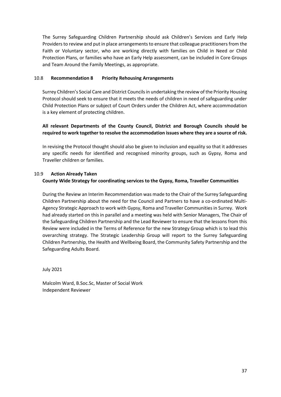The Surrey Safeguarding Children Partnership should ask Children's Services and Early Help Providers to review and put in place arrangements to ensure that colleague practitioners from the Faith or Voluntary sector, who are working directly with families on Child in Need or Child Protection Plans, or families who have an Early Help assessment, can be included in Core Groups and Team Around the Family Meetings, as appropriate.

#### 10.8 **Recommendation 8 Priority Rehousing Arrangements**

Surrey Children's Social Care and District Councils in undertaking the review of the Priority Housing Protocol should seek to ensure that it meets the needs of children in need of safeguarding under Child Protection Plans or subject of Court Orders under the Children Act, where accommodation is a key element of protecting children.

#### **All relevant Departments of the County Council, District and Borough Councils should be required to work together to resolve the accommodation issues where they are a source of risk.**

In revising the Protocol thought should also be given to inclusion and equality so that it addresses any specific needs for identified and recognised minority groups, such as Gypsy, Roma and Traveller children or families.

#### 10.9 **Action Already Taken County Wide Strategy for coordinating services to the Gypsy, Roma, Traveller Communities**

During the Review an Interim Recommendation was made to the Chair of the Surrey Safeguarding Children Partnership about the need for the Council and Partners to have a co-ordinated Multi-Agency Strategic Approach to work with Gypsy, Roma and Traveller Communities in Surrey. Work had already started on this in parallel and a meeting was held with Senior Managers, The Chair of the Safeguarding Children Partnership and the Lead Reviewer to ensure that the lessons from this Review were included in the Terms of Reference for the new Strategy Group which is to lead this overarching strategy. The Strategic Leadership Group will report to the Surrey Safeguarding Children Partnership, the Health and Wellbeing Board, the Community Safety Partnership and the Safeguarding Adults Board.

July 2021

Malcolm Ward, B.Soc.Sc, Master of Social Work Independent Reviewer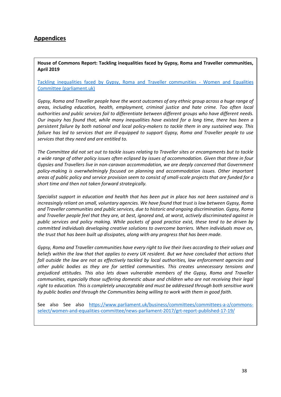## **Appendices**

**House of Commons Report: Tackling inequalities faced by Gypsy, Roma and Traveller communities, April 2019** 

[Tackling inequalities faced by Gypsy, Roma and Traveller communities -](https://publications.parliament.uk/pa/cm201719/cmselect/cmwomeq/360/full-report.html) Women and Equalities [Committee \(parliament.uk\)](https://publications.parliament.uk/pa/cm201719/cmselect/cmwomeq/360/full-report.html)

*Gypsy, Roma and Traveller people have the worst outcomes of any ethnic group across a huge range of areas, including education, health, employment, criminal justice and hate crime. Too often local authorities and public services fail to differentiate between different groups who have different needs. Our inquiry has found that, while many inequalities have existed for a long time, there has been a persistent failure by both national and local policy-makers to tackle them in any sustained way. This failure has led to services that are ill-equipped to support Gypsy, Roma and Traveller people to use services that they need and are entitled to.*

*The Committee did not set out to tackle issues relating to Traveller sites or encampments but to tackle a wide range of other policy issues often eclipsed by issues of accommodation. Given that three in four Gypsies and Travellers live in non-caravan accommodation, we are deeply concerned that Government policy-making is overwhelmingly focused on planning and accommodation issues. Other important areas of public policy and service provision seem to consist of small-scale projects that are funded for a short time and then not taken forward strategically.* 

*Specialist support in education and health that has been put in place has not been sustained and is increasingly reliant on small, voluntary agencies. We have found that trust is low between Gypsy, Roma and Traveller communities and public services, due to historic and ongoing discrimination. Gypsy, Roma and Traveller people feel that they are, at best, ignored and, at worst, actively discriminated against in public services and policy making. While pockets of good practice exist, these tend to be driven by committed individuals developing creative solutions to overcome barriers. When individuals move on, the trust that has been built up dissipates, along with any progress that has been made.* 

*Gypsy, Roma and Traveller communities have every right to live their lives according to their values and beliefs within the law that that applies to every UK resident. But we have concluded that actions that fall outside the law are not as effectively tackled by local authorities, law enforcement agencies and other public bodies as they are for settled communities. This creates unnecessary tensions and prejudiced attitudes. This also lets down vulnerable members of the Gypsy, Roma and Traveller communities, especially those suffering domestic abuse and children who are not receiving their legal right to education. This is completely unacceptable and must be addressed through both sensitive work by public bodies and through the Communities being willing to work with them in good faith.*

See also See also [https://www.parliament.uk/business/committees/committees-a-z/commons](https://www.parliament.uk/business/committees/committees-a-z/commons-select/women-and-equalities-committee/news-parliament-2017/grt-report-published-17-19/)[select/women-and-equalities-committee/news-parliament-2017/grt-report-published-17-19/](https://www.parliament.uk/business/committees/committees-a-z/commons-select/women-and-equalities-committee/news-parliament-2017/grt-report-published-17-19/)